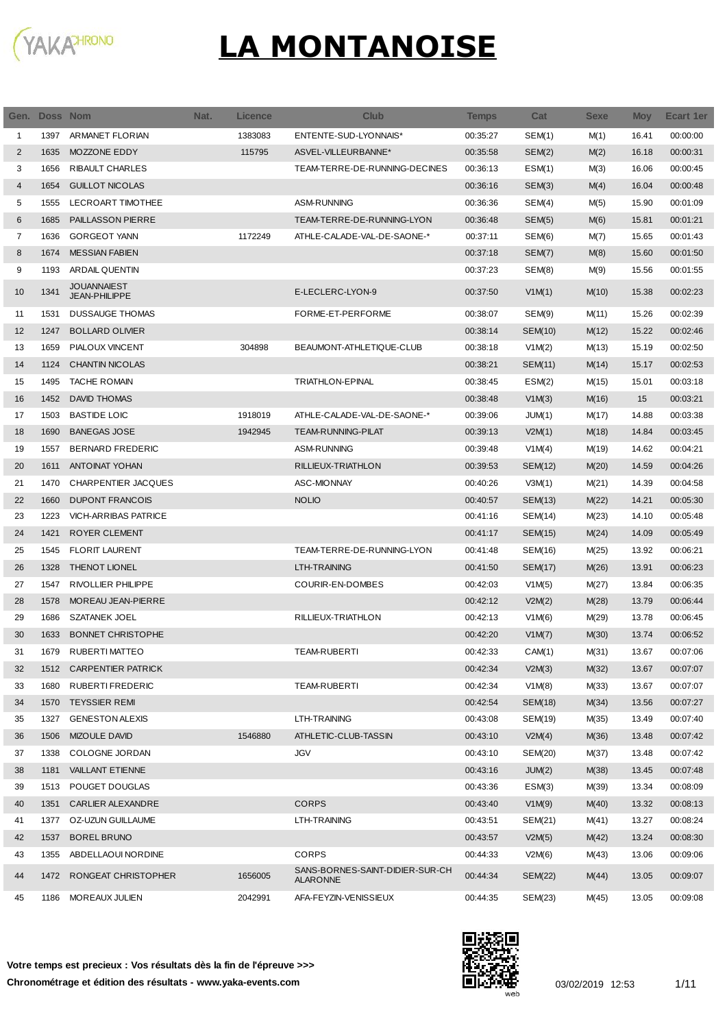

|    | Gen. Doss Nom |                                            | Nat. | <b>Licence</b> | <b>Club</b>                                        | Temps    | Cat            | <b>Sexe</b> | <b>Moy</b> | <b>Ecart 1er</b> |
|----|---------------|--------------------------------------------|------|----------------|----------------------------------------------------|----------|----------------|-------------|------------|------------------|
| 1  | 1397          | ARMANET FLORIAN                            |      | 1383083        | ENTENTE-SUD-LYONNAIS*                              | 00:35:27 | SEM(1)         | M(1)        | 16.41      | 00:00:00         |
| 2  | 1635          | MOZZONE EDDY                               |      | 115795         | ASVEL-VILLEURBANNE*                                | 00:35:58 | SEM(2)         | M(2)        | 16.18      | 00:00:31         |
| 3  | 1656          | <b>RIBAULT CHARLES</b>                     |      |                | TEAM-TERRE-DE-RUNNING-DECINES                      | 00:36:13 | ESM(1)         | M(3)        | 16.06      | 00:00:45         |
| 4  | 1654          | <b>GUILLOT NICOLAS</b>                     |      |                |                                                    | 00:36:16 | SEM(3)         | M(4)        | 16.04      | 00:00:48         |
| 5  | 1555          | LECROART TIMOTHEE                          |      |                | ASM-RUNNING                                        | 00:36:36 | SEM(4)         | M(5)        | 15.90      | 00:01:09         |
| 6  | 1685          | PAILLASSON PIERRE                          |      |                | TEAM-TERRE-DE-RUNNING-LYON                         | 00:36:48 | SEM(5)         | M(6)        | 15.81      | 00:01:21         |
| 7  | 1636          | <b>GORGEOT YANN</b>                        |      | 1172249        | ATHLE-CALADE-VAL-DE-SAONE-*                        | 00:37:11 | SEM(6)         | M(7)        | 15.65      | 00:01:43         |
| 8  | 1674          | <b>MESSIAN FABIEN</b>                      |      |                |                                                    | 00:37:18 | SEM(7)         | M(8)        | 15.60      | 00:01:50         |
| 9  | 1193          | ARDAIL QUENTIN                             |      |                |                                                    | 00:37:23 | SEM(8)         | M(9)        | 15.56      | 00:01:55         |
| 10 | 1341          | <b>JOUANNAIEST</b><br><b>JEAN-PHILIPPE</b> |      |                | E-LECLERC-LYON-9                                   | 00:37:50 | V1M(1)         | M(10)       | 15.38      | 00:02:23         |
| 11 | 1531          | <b>DUSSAUGE THOMAS</b>                     |      |                | FORME-ET-PERFORME                                  | 00:38:07 | SEM(9)         | M(11)       | 15.26      | 00:02:39         |
| 12 | 1247          | <b>BOLLARD OLIVIER</b>                     |      |                |                                                    | 00:38:14 | SEM(10)        | M(12)       | 15.22      | 00:02:46         |
| 13 | 1659          | PIALOUX VINCENT                            |      | 304898         | BEAUMONT-ATHLETIQUE-CLUB                           | 00:38:18 | V1M(2)         | M(13)       | 15.19      | 00:02:50         |
| 14 | 1124          | <b>CHANTIN NICOLAS</b>                     |      |                |                                                    | 00:38:21 | SEM(11)        | M(14)       | 15.17      | 00:02:53         |
| 15 | 1495          | <b>TACHE ROMAIN</b>                        |      |                | <b>TRIATHLON-EPINAL</b>                            | 00:38:45 | ESM(2)         | M(15)       | 15.01      | 00:03:18         |
| 16 | 1452          | <b>DAVID THOMAS</b>                        |      |                |                                                    | 00:38:48 | V1M(3)         | M(16)       | 15         | 00:03:21         |
| 17 | 1503          | <b>BASTIDE LOIC</b>                        |      | 1918019        | ATHLE-CALADE-VAL-DE-SAONE-*                        | 00:39:06 | JUM(1)         | M(17)       | 14.88      | 00:03:38         |
| 18 | 1690          | <b>BANEGAS JOSE</b>                        |      | 1942945        | <b>TEAM-RUNNING-PILAT</b>                          | 00:39:13 | V2M(1)         | M(18)       | 14.84      | 00:03:45         |
| 19 | 1557          | <b>BERNARD FREDERIC</b>                    |      |                | <b>ASM-RUNNING</b>                                 | 00:39:48 | V1M(4)         | M(19)       | 14.62      | 00:04:21         |
| 20 | 1611          | <b>ANTOINAT YOHAN</b>                      |      |                | RILLIEUX-TRIATHLON                                 | 00:39:53 | SEM(12)        | M(20)       | 14.59      | 00:04:26         |
| 21 | 1470          | CHARPENTIER JACQUES                        |      |                | <b>ASC-MIONNAY</b>                                 | 00:40:26 | V3M(1)         | M(21)       | 14.39      | 00:04:58         |
| 22 | 1660          | <b>DUPONT FRANCOIS</b>                     |      |                | <b>NOLIO</b>                                       | 00:40:57 | SEM(13)        | M(22)       | 14.21      | 00:05:30         |
| 23 | 1223          | <b>VICH-ARRIBAS PATRICE</b>                |      |                |                                                    | 00:41:16 | SEM(14)        | M(23)       | 14.10      | 00:05:48         |
| 24 | 1421          | ROYER CLEMENT                              |      |                |                                                    | 00:41:17 | SEM(15)        | M(24)       | 14.09      | 00:05:49         |
| 25 | 1545          | <b>FLORIT LAURENT</b>                      |      |                | TEAM-TERRE-DE-RUNNING-LYON                         | 00:41:48 | SEM(16)        | M(25)       | 13.92      | 00:06:21         |
| 26 | 1328          | THENOT LIONEL                              |      |                | LTH-TRAINING                                       | 00:41:50 | <b>SEM(17)</b> | M(26)       | 13.91      | 00:06:23         |
| 27 | 1547          | RIVOLLIER PHILIPPE                         |      |                | COURIR-EN-DOMBES                                   | 00:42:03 | V1M(5)         | M(27)       | 13.84      | 00:06:35         |
| 28 | 1578          | MOREAU JEAN-PIERRE                         |      |                |                                                    | 00:42:12 | V2M(2)         | M(28)       | 13.79      | 00:06:44         |
| 29 | 1686          | <b>SZATANEK JOEL</b>                       |      |                | RILLIEUX-TRIATHLON                                 | 00:42:13 | V1M(6)         | M(29)       | 13.78      | 00:06:45         |
| 30 | 1633          | <b>BONNET CHRISTOPHE</b>                   |      |                |                                                    | 00:42:20 | V1M(7)         | M(30)       | 13.74      | 00:06:52         |
| 31 | 1679          | RUBERTI MATTEO                             |      |                | <b>TEAM-RUBERTI</b>                                | 00:42:33 | CAM(1)         | M(31)       | 13.67      | 00:07:06         |
| 32 | 1512          | <b>CARPENTIER PATRICK</b>                  |      |                |                                                    | 00:42:34 | V2M(3)         | M(32)       | 13.67      | 00:07:07         |
| 33 | 1680          | RUBERTI FREDERIC                           |      |                | TEAM-RUBERTI                                       | 00:42:34 | V1M(8)         | M(33)       | 13.67      | 00:07:07         |
| 34 | 1570          | <b>TEYSSIER REMI</b>                       |      |                |                                                    | 00:42:54 | SEM(18)        | M(34)       | 13.56      | 00:07:27         |
| 35 | 1327          | <b>GENESTON ALEXIS</b>                     |      |                | LTH-TRAINING                                       | 00:43:08 | SEM(19)        | M(35)       | 13.49      | 00:07:40         |
| 36 | 1506          | <b>MIZOULE DAVID</b>                       |      | 1546880        | ATHLETIC-CLUB-TASSIN                               | 00:43:10 | V2M(4)         | M(36)       | 13.48      | 00:07:42         |
| 37 | 1338          | COLOGNE JORDAN                             |      |                | <b>JGV</b>                                         | 00:43:10 | SEM(20)        | M(37)       | 13.48      | 00:07:42         |
| 38 | 1181          | <b>VAILLANT ETIENNE</b>                    |      |                |                                                    | 00:43:16 | JUM(2)         | M(38)       | 13.45      | 00:07:48         |
| 39 | 1513          | POUGET DOUGLAS                             |      |                |                                                    | 00:43:36 | ESM(3)         | M(39)       | 13.34      | 00:08:09         |
| 40 | 1351          | <b>CARLIER ALEXANDRE</b>                   |      |                | <b>CORPS</b>                                       | 00:43:40 | V1M(9)         | M(40)       | 13.32      | 00:08:13         |
| 41 | 1377          | OZ-UZUN GUILLAUME                          |      |                | LTH-TRAINING                                       | 00:43:51 | SEM(21)        | M(41)       | 13.27      | 00:08:24         |
| 42 | 1537          | <b>BOREL BRUNO</b>                         |      |                |                                                    | 00:43:57 | V2M(5)         | M(42)       | 13.24      | 00:08:30         |
| 43 | 1355          | ABDELLAOUI NORDINE                         |      |                | <b>CORPS</b>                                       | 00:44:33 | V2M(6)         | M(43)       | 13.06      | 00:09:06         |
| 44 | 1472          | RONGEAT CHRISTOPHER                        |      | 1656005        | SANS-BORNES-SAINT-DIDIER-SUR-CH<br><b>ALARONNE</b> | 00:44:34 | <b>SEM(22)</b> | M(44)       | 13.05      | 00:09:07         |
| 45 |               | 1186 MOREAUX JULIEN                        |      | 2042991        | AFA-FEYZIN-VENISSIEUX                              | 00:44:35 | SEM(23)        | M(45)       | 13.05      | 00:09:08         |

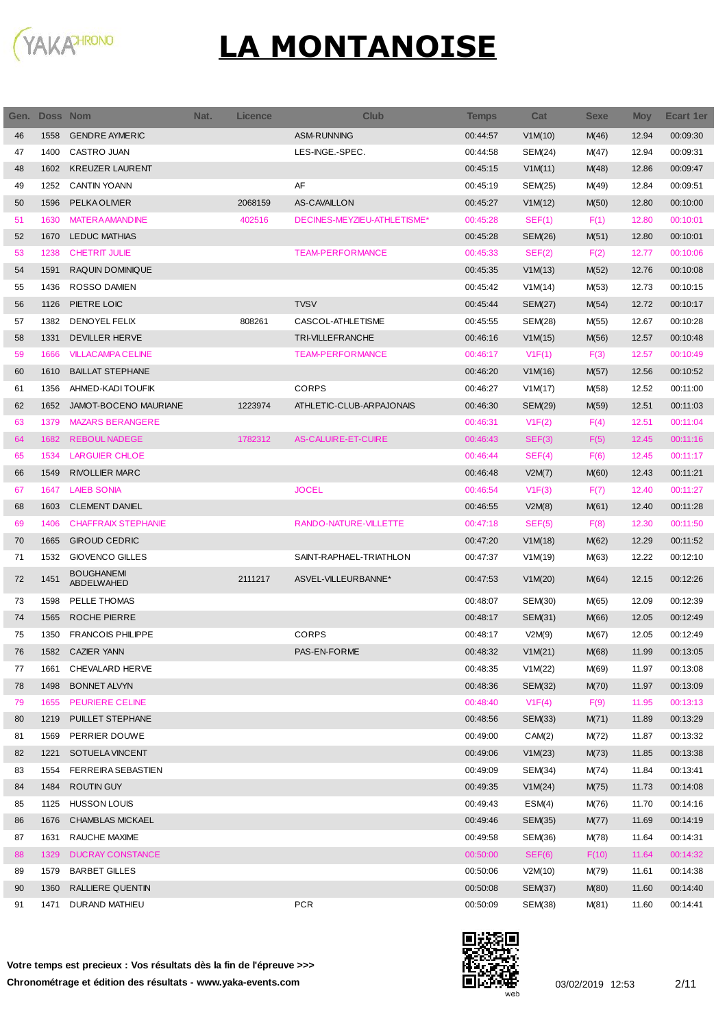

| Gen. | Doss Nom |                                 | Nat. | <b>Licence</b> | <b>Club</b>                 | <b>Temps</b> | Cat            | <b>Sexe</b> | <b>Moy</b> | Ecart 1er |
|------|----------|---------------------------------|------|----------------|-----------------------------|--------------|----------------|-------------|------------|-----------|
| 46   | 1558     | <b>GENDRE AYMERIC</b>           |      |                | <b>ASM-RUNNING</b>          | 00:44:57     | V1M(10)        | M(46)       | 12.94      | 00:09:30  |
| 47   | 1400     | CASTRO JUAN                     |      |                | LES-INGE.-SPEC.             | 00:44:58     | SEM(24)        | M(47)       | 12.94      | 00:09:31  |
| 48   | 1602     | <b>KREUZER LAURENT</b>          |      |                |                             | 00:45:15     | V1M(11)        | M(48)       | 12.86      | 00:09:47  |
| 49   | 1252     | <b>CANTIN YOANN</b>             |      |                | AF                          | 00:45:19     | SEM(25)        | M(49)       | 12.84      | 00:09:51  |
| 50   | 1596     | PELKA OLIVIER                   |      | 2068159        | <b>AS-CAVAILLON</b>         | 00:45:27     | V1M(12)        | M(50)       | 12.80      | 00:10:00  |
| 51   | 1630     | <b>MATERA AMANDINE</b>          |      | 402516         | DECINES-MEYZIEU-ATHLETISME* | 00:45:28     | SEF(1)         | F(1)        | 12.80      | 00:10:01  |
| 52   | 1670     | <b>LEDUC MATHIAS</b>            |      |                |                             | 00:45:28     | SEM(26)        | M(51)       | 12.80      | 00:10:01  |
| 53   | 1238     | <b>CHETRIT JULIE</b>            |      |                | <b>TEAM-PERFORMANCE</b>     | 00:45:33     | SEF(2)         | F(2)        | 12.77      | 00:10:06  |
| 54   | 1591     | RAQUIN DOMINIQUE                |      |                |                             | 00:45:35     | V1M(13)        | M(52)       | 12.76      | 00:10:08  |
| 55   | 1436     | ROSSO DAMIEN                    |      |                |                             | 00:45:42     | V1M(14)        | M(53)       | 12.73      | 00:10:15  |
| 56   | 1126     | PIETRE LOIC                     |      |                | <b>TVSV</b>                 | 00:45:44     | <b>SEM(27)</b> | M(54)       | 12.72      | 00:10:17  |
| 57   | 1382     | DENOYEL FELIX                   |      | 808261         | CASCOL-ATHLETISME           | 00:45:55     | SEM(28)        | M(55)       | 12.67      | 00:10:28  |
| 58   | 1331     | DEVILLER HERVE                  |      |                | <b>TRI-VILLEFRANCHE</b>     | 00:46:16     | V1M(15)        | M(56)       | 12.57      | 00:10:48  |
| 59   | 1666     | <b>VILLACAMPA CELINE</b>        |      |                | <b>TEAM-PERFORMANCE</b>     | 00:46:17     | V1F(1)         | F(3)        | 12.57      | 00:10:49  |
| 60   | 1610     | <b>BAILLAT STEPHANE</b>         |      |                |                             | 00:46:20     | V1M(16)        | M(57)       | 12.56      | 00:10:52  |
| 61   | 1356     | AHMED-KADI TOUFIK               |      |                | <b>CORPS</b>                | 00:46:27     | V1M(17)        | M(58)       | 12.52      | 00:11:00  |
| 62   | 1652     | JAMOT-BOCENO MAURIANE           |      | 1223974        | ATHLETIC-CLUB-ARPAJONAIS    | 00:46:30     | SEM(29)        | M(59)       | 12.51      | 00:11:03  |
| 63   | 1379     | <b>MAZARS BERANGERE</b>         |      |                |                             | 00:46:31     | V1F(2)         | F(4)        | 12.51      | 00:11:04  |
| 64   | 1682     | <b>REBOUL NADEGE</b>            |      | 1782312        | AS-CALUIRE-ET-CUIRE         | 00:46:43     | SEF(3)         | F(5)        | 12.45      | 00:11:16  |
| 65   | 1534     | <b>LARGUIER CHLOE</b>           |      |                |                             | 00:46:44     | SEF(4)         | F(6)        | 12.45      | 00:11:17  |
| 66   | 1549     | <b>RIVOLLIER MARC</b>           |      |                |                             | 00:46:48     | V2M(7)         | M(60)       | 12.43      | 00:11:21  |
| 67   | 1647     | <b>LAIEB SONIA</b>              |      |                | <b>JOCEL</b>                | 00:46:54     | V1F(3)         | F(7)        | 12.40      | 00:11:27  |
| 68   | 1603     | <b>CLEMENT DANIEL</b>           |      |                |                             | 00:46:55     | V2M(8)         | M(61)       | 12.40      | 00:11:28  |
| 69   | 1406     | <b>CHAFFRAIX STEPHANIE</b>      |      |                | RANDO-NATURE-VILLETTE       | 00:47:18     | SEF(5)         | F(8)        | 12.30      | 00:11:50  |
| 70   | 1665     | <b>GIROUD CEDRIC</b>            |      |                |                             | 00:47:20     | V1M(18)        | M(62)       | 12.29      | 00:11:52  |
| 71   | 1532     | <b>GIOVENCO GILLES</b>          |      |                | SAINT-RAPHAEL-TRIATHLON     | 00:47:37     | V1M(19)        | M(63)       | 12.22      | 00:12:10  |
| 72   | 1451     | <b>BOUGHANEMI</b><br>ABDELWAHED |      | 2111217        | ASVEL-VILLEURBANNE*         | 00:47:53     | V1M(20)        | M(64)       | 12.15      | 00:12:26  |
| 73   | 1598     | PELLE THOMAS                    |      |                |                             | 00:48:07     | SEM(30)        | M(65)       | 12.09      | 00:12:39  |
| 74   | 1565     | <b>ROCHE PIERRE</b>             |      |                |                             | 00:48:17     | SEM(31)        | M(66)       | 12.05      | 00:12:49  |
| 75   | 1350     | <b>FRANCOIS PHILIPPE</b>        |      |                | <b>CORPS</b>                | 00:48:17     | V2M(9)         | M(67)       | 12.05      | 00:12:49  |
| 76   |          | 1582 CAZIER YANN                |      |                | <b>PAS-EN-FORME</b>         | 00:48:32     | V1M(21)        | M(68)       | 11.99      | 00:13:05  |
| 77   | 1661     | CHEVALARD HERVE                 |      |                |                             | 00:48:35     | V1M(22)        | M(69)       | 11.97      | 00:13:08  |
| 78   | 1498     | <b>BONNET ALVYN</b>             |      |                |                             | 00:48:36     | SEM(32)        | M(70)       | 11.97      | 00:13:09  |
| 79   | 1655     | <b>PEURIERE CELINE</b>          |      |                |                             | 00:48:40     | V1F(4)         | F(9)        | 11.95      | 00:13:13  |
| 80   | 1219     | PUILLET STEPHANE                |      |                |                             | 00:48:56     | SEM(33)        | M(71)       | 11.89      | 00:13:29  |
| 81   | 1569     | PERRIER DOUWE                   |      |                |                             | 00:49:00     | CAM(2)         | M(72)       | 11.87      | 00:13:32  |
| 82   | 1221     | SOTUELA VINCENT                 |      |                |                             | 00:49:06     | V1M(23)        | M(73)       | 11.85      | 00:13:38  |
| 83   | 1554     | <b>FERREIRA SEBASTIEN</b>       |      |                |                             | 00:49:09     | SEM(34)        | M(74)       | 11.84      | 00:13:41  |
| 84   | 1484     | ROUTIN GUY                      |      |                |                             | 00:49:35     | V1M(24)        | M(75)       | 11.73      | 00:14:08  |
| 85   | 1125     | <b>HUSSON LOUIS</b>             |      |                |                             | 00:49:43     | ESM(4)         | M(76)       | 11.70      | 00:14:16  |
| 86   | 1676     | <b>CHAMBLAS MICKAEL</b>         |      |                |                             | 00:49:46     | SEM(35)        | M(77)       | 11.69      | 00:14:19  |
| 87   | 1631     | RAUCHE MAXIME                   |      |                |                             | 00:49:58     | SEM(36)        | M(78)       | 11.64      | 00:14:31  |
| 88   | 1329     | <b>DUCRAY CONSTANCE</b>         |      |                |                             | 00:50:00     | SEF(6)         | F(10)       | 11.64      | 00:14:32  |
| 89   | 1579     | <b>BARBET GILLES</b>            |      |                |                             | 00:50:06     | V2M(10)        | M(79)       | 11.61      | 00:14:38  |
| 90   | 1360     | RALLIERE QUENTIN                |      |                |                             | 00:50:08     | SEM(37)        | M(80)       | 11.60      | 00:14:40  |
| 91   | 1471     | DURAND MATHIEU                  |      |                | <b>PCR</b>                  | 00:50:09     | SEM(38)        | M(81)       | 11.60      | 00:14:41  |

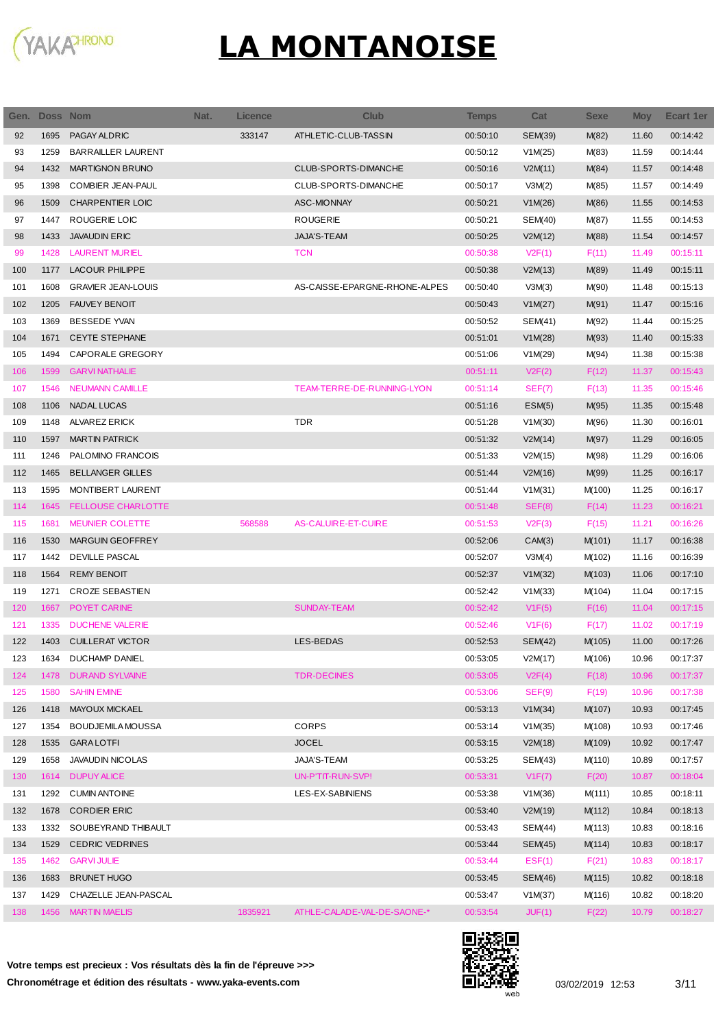

| Gen. | <b>Doss Nom</b> |                           | Nat.<br><b>Licence</b> |         | <b>Club</b>                   | Temps    | Cat            | <b>Sexe</b> | <b>Moy</b> | Ecart 1er |
|------|-----------------|---------------------------|------------------------|---------|-------------------------------|----------|----------------|-------------|------------|-----------|
| 92   | 1695            | PAGAY ALDRIC              |                        | 333147  | ATHLETIC-CLUB-TASSIN          | 00:50:10 | SEM(39)        | M(82)       | 11.60      | 00:14:42  |
| 93   | 1259            | <b>BARRAILLER LAURENT</b> |                        |         |                               | 00:50:12 | V1M(25)        | M(83)       | 11.59      | 00:14:44  |
| 94   | 1432            | <b>MARTIGNON BRUNO</b>    |                        |         | CLUB-SPORTS-DIMANCHE          | 00:50:16 | V2M(11)        | M(84)       | 11.57      | 00:14:48  |
| 95   | 1398            | <b>COMBIER JEAN-PAUL</b>  |                        |         | CLUB-SPORTS-DIMANCHE          | 00:50:17 | V3M(2)         | M(85)       | 11.57      | 00:14:49  |
| 96   | 1509            | CHARPENTIER LOIC          |                        |         | <b>ASC-MIONNAY</b>            | 00:50:21 | V1M(26)        | M(86)       | 11.55      | 00:14:53  |
| 97   | 1447            | ROUGERIE LOIC             |                        |         | <b>ROUGERIE</b>               | 00:50:21 | SEM(40)        | M(87)       | 11.55      | 00:14:53  |
| 98   | 1433            | <b>JAVAUDIN ERIC</b>      |                        |         | JAJA'S-TEAM                   | 00:50:25 | V2M(12)        | M(88)       | 11.54      | 00:14:57  |
| 99   | 1428            | <b>LAURENT MURIEL</b>     |                        |         | <b>TCN</b>                    | 00:50:38 | V2F(1)         | F(11)       | 11.49      | 00:15:11  |
| 100  | 1177            | <b>LACOUR PHILIPPE</b>    |                        |         |                               | 00:50:38 | V2M(13)        | M(89)       | 11.49      | 00:15:11  |
| 101  | 1608            | <b>GRAVIER JEAN-LOUIS</b> |                        |         | AS-CAISSE-EPARGNE-RHONE-ALPES | 00:50:40 | V3M(3)         | M(90)       | 11.48      | 00:15:13  |
| 102  | 1205            | <b>FAUVEY BENOIT</b>      |                        |         |                               | 00:50:43 | V1M(27)        | M(91)       | 11.47      | 00:15:16  |
| 103  | 1369            | <b>BESSEDE YVAN</b>       |                        |         |                               | 00:50:52 | SEM(41)        | M(92)       | 11.44      | 00:15:25  |
| 104  | 1671            | <b>CEYTE STEPHANE</b>     |                        |         |                               | 00:51:01 | V1M(28)        | M(93)       | 11.40      | 00:15:33  |
| 105  | 1494            | CAPORALE GREGORY          |                        |         |                               | 00:51:06 | V1M(29)        | M(94)       | 11.38      | 00:15:38  |
| 106  | 1599            | <b>GARVI NATHALIE</b>     |                        |         |                               | 00:51:11 | V2F(2)         | F(12)       | 11.37      | 00:15:43  |
| 107  | 1546            | <b>NEUMANN CAMILLE</b>    |                        |         | TEAM-TERRE-DE-RUNNING-LYON    | 00:51:14 | SEF(7)         | F(13)       | 11.35      | 00:15:46  |
| 108  | 1106            | <b>NADAL LUCAS</b>        |                        |         |                               | 00:51:16 | ESM(5)         | M(95)       | 11.35      | 00:15:48  |
| 109  | 1148            | ALVAREZ ERICK             |                        |         | <b>TDR</b>                    | 00:51:28 | V1M(30)        | M(96)       | 11.30      | 00:16:01  |
| 110  | 1597            | <b>MARTIN PATRICK</b>     |                        |         |                               | 00:51:32 | V2M(14)        | M(97)       | 11.29      | 00:16:05  |
| 111  | 1246            | PALOMINO FRANCOIS         |                        |         |                               | 00:51:33 | V2M(15)        | M(98)       | 11.29      | 00:16:06  |
| 112  | 1465            | <b>BELLANGER GILLES</b>   |                        |         |                               | 00:51:44 | V2M(16)        | M(99)       | 11.25      | 00:16:17  |
| 113  | 1595            | MONTIBERT LAURENT         |                        |         |                               | 00:51:44 | V1M(31)        | M(100)      | 11.25      | 00:16:17  |
| 114  | 1645            | <b>FELLOUSE CHARLOTTE</b> |                        |         |                               | 00:51:48 | SEF(8)         | F(14)       | 11.23      | 00:16:21  |
| 115  | 1681            | <b>MEUNIER COLETTE</b>    |                        | 568588  | <b>AS-CALUIRE-ET-CUIRE</b>    | 00:51:53 | V2F(3)         | F(15)       | 11.21      | 00:16:26  |
| 116  | 1530            | <b>MARGUIN GEOFFREY</b>   |                        |         |                               | 00:52:06 | CAM(3)         | M(101)      | 11.17      | 00:16:38  |
| 117  | 1442            | <b>DEVILLE PASCAL</b>     |                        |         |                               | 00:52:07 | V3M(4)         | M(102)      | 11.16      | 00:16:39  |
| 118  | 1564            | <b>REMY BENOIT</b>        |                        |         |                               | 00:52:37 | V1M(32)        | M(103)      | 11.06      | 00:17:10  |
| 119  | 1271            | <b>CROZE SEBASTIEN</b>    |                        |         |                               | 00:52:42 | V1M(33)        | M(104)      | 11.04      | 00:17:15  |
| 120  | 1667            | POYET CARINE              |                        |         | <b>SUNDAY-TEAM</b>            | 00:52:42 | V1F(5)         | F(16)       | 11.04      | 00:17:15  |
| 121  | 1335            | <b>DUCHENE VALERIE</b>    |                        |         |                               | 00:52:46 | V1F(6)         | F(17)       | 11.02      | 00:17:19  |
| 122  | 1403            | <b>CUILLERAT VICTOR</b>   |                        |         | LES-BEDAS                     | 00:52:53 | SEM(42)        | M(105)      | 11.00      | 00:17:26  |
| 123  | 1634            | DUCHAMP DANIEL            |                        |         |                               | 00:53:05 | V2M(17)        | M(106)      | 10.96      | 00:17:37  |
| 124  | 1478            | <b>DURAND SYLVAINE</b>    |                        |         | <b>TDR-DECINES</b>            | 00:53:05 | V2F(4)         | F(18)       | 10.96      | 00:17:37  |
| 125  | 1580            | <b>SAHIN EMINE</b>        |                        |         |                               | 00:53:06 | SEF(9)         | F(19)       | 10.96      | 00:17:38  |
| 126  | 1418            | MAYOUX MICKAEL            |                        |         |                               | 00:53:13 | V1M(34)        | M(107)      | 10.93      | 00:17:45  |
| 127  | 1354            | <b>BOUDJEMILA MOUSSA</b>  |                        |         | <b>CORPS</b>                  | 00:53:14 | V1M(35)        | M(108)      | 10.93      | 00:17:46  |
| 128  | 1535            | <b>GARALOTFI</b>          |                        |         | <b>JOCEL</b>                  | 00:53:15 | V2M(18)        | M(109)      | 10.92      | 00:17:47  |
| 129  | 1658            | <b>JAVAUDIN NICOLAS</b>   |                        |         | JAJA'S-TEAM                   | 00:53:25 | SEM(43)        | M(110)      | 10.89      | 00:17:57  |
| 130  | 1614            | <b>DUPUY ALICE</b>        |                        |         | UN-P'TIT-RUN-SVP!             | 00:53:31 | V1F(7)         | F(20)       | 10.87      | 00:18:04  |
| 131  | 1292            | <b>CUMIN ANTOINE</b>      |                        |         | LES-EX-SABINIENS              | 00:53:38 | V1M(36)        | M(111)      | 10.85      | 00:18:11  |
| 132  | 1678            | <b>CORDIER ERIC</b>       |                        |         |                               | 00:53:40 | V2M(19)        | M(112)      | 10.84      | 00:18:13  |
| 133  | 1332            | SOUBEYRAND THIBAULT       |                        |         |                               | 00:53:43 | SEM(44)        | M(113)      | 10.83      | 00:18:16  |
| 134  | 1529            | <b>CEDRIC VEDRINES</b>    |                        |         |                               | 00:53:44 | <b>SEM(45)</b> | M(114)      | 10.83      | 00:18:17  |
| 135  | 1462            | <b>GARVI JULIE</b>        |                        |         |                               | 00:53:44 | EST(1)         | F(21)       | 10.83      | 00:18:17  |
| 136  | 1683            | <b>BRUNET HUGO</b>        |                        |         |                               | 00:53:45 | <b>SEM(46)</b> | M(115)      | 10.82      | 00:18:18  |
| 137  | 1429            | CHAZELLE JEAN-PASCAL      |                        |         |                               | 00:53:47 | V1M(37)        | M(116)      | 10.82      | 00:18:20  |
| 138  | 1456            | <b>MARTIN MAELIS</b>      |                        | 1835921 | ATHLE-CALADE-VAL-DE-SAONE-*   | 00:53:54 | JUF(1)         | F(22)       | 10.79      | 00:18:27  |
|      |                 |                           |                        |         |                               |          |                |             |            |           |

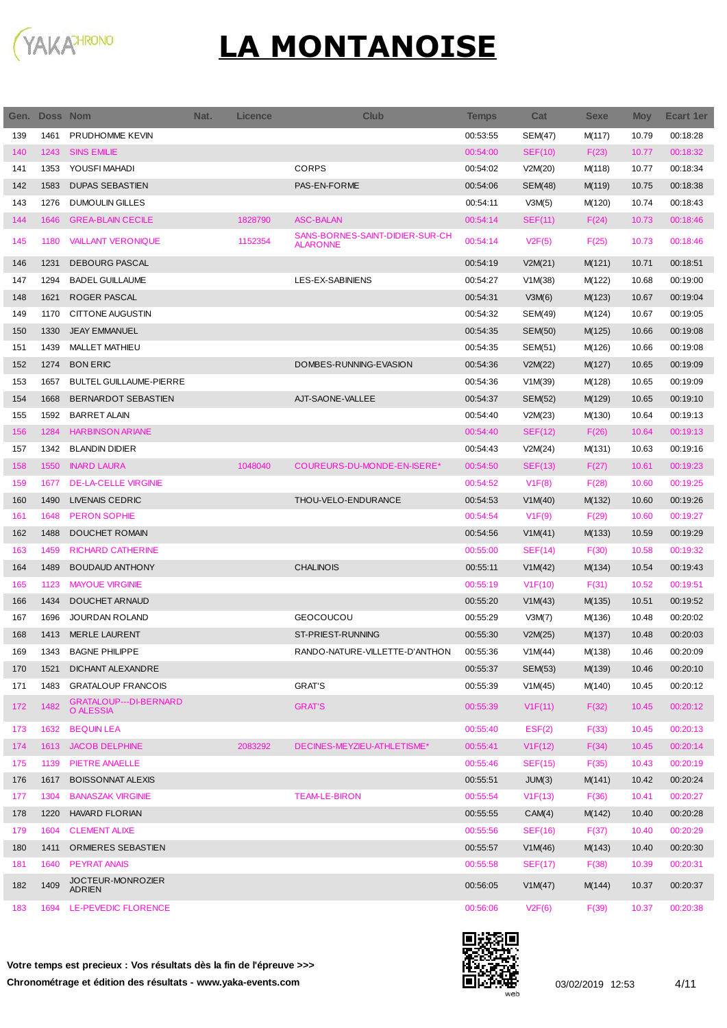

| Gen. | Doss Nom |                                     | Nat. | Licence | <b>Club</b>                                        | <b>Temps</b> | Cat            | <b>Sexe</b> | <b>Moy</b> | Ecart 1er |
|------|----------|-------------------------------------|------|---------|----------------------------------------------------|--------------|----------------|-------------|------------|-----------|
| 139  | 1461     | PRUDHOMME KEVIN                     |      |         |                                                    | 00:53:55     | <b>SEM(47)</b> | M(117)      | 10.79      | 00:18:28  |
| 140  | 1243     | <b>SINS EMILIE</b>                  |      |         |                                                    | 00:54:00     | <b>SEF(10)</b> | F(23)       | 10.77      | 00:18:32  |
| 141  | 1353     | YOUSFI MAHADI                       |      |         | <b>CORPS</b>                                       | 00:54:02     | V2M(20)        | M(118)      | 10.77      | 00:18:34  |
| 142  | 1583     | <b>DUPAS SEBASTIEN</b>              |      |         | PAS-EN-FORME                                       | 00:54:06     | SEM(48)        | M(119)      | 10.75      | 00:18:38  |
| 143  | 1276     | <b>DUMOULIN GILLES</b>              |      |         |                                                    | 00:54:11     | V3M(5)         | M(120)      | 10.74      | 00:18:43  |
| 144  | 1646     | <b>GREA-BLAIN CECILE</b>            |      | 1828790 | <b>ASC-BALAN</b>                                   | 00:54:14     | SEF(11)        | F(24)       | 10.73      | 00:18:46  |
| 145  | 1180     | <b>VAILLANT VERONIQUE</b>           |      | 1152354 | SANS-BORNES-SAINT-DIDIER-SUR-CH<br><b>ALARONNE</b> | 00:54:14     | V2F(5)         | F(25)       | 10.73      | 00:18:46  |
| 146  | 1231     | <b>DEBOURG PASCAL</b>               |      |         |                                                    | 00:54:19     | V2M(21)        | M(121)      | 10.71      | 00:18:51  |
| 147  | 1294     | <b>BADEL GUILLAUME</b>              |      |         | LES-EX-SABINIENS                                   | 00:54:27     | V1M(38)        | M(122)      | 10.68      | 00:19:00  |
| 148  | 1621     | ROGER PASCAL                        |      |         |                                                    | 00:54:31     | V3M(6)         | M(123)      | 10.67      | 00:19:04  |
| 149  | 1170     | <b>CITTONE AUGUSTIN</b>             |      |         |                                                    | 00:54:32     | SEM(49)        | M(124)      | 10.67      | 00:19:05  |
| 150  | 1330     | <b>JEAY EMMANUEL</b>                |      |         |                                                    | 00:54:35     | <b>SEM(50)</b> | M(125)      | 10.66      | 00:19:08  |
| 151  | 1439     | <b>MALLET MATHIEU</b>               |      |         |                                                    | 00:54:35     | SEM(51)        | M(126)      | 10.66      | 00:19:08  |
| 152  | 1274     | <b>BON ERIC</b>                     |      |         | DOMBES-RUNNING-EVASION                             | 00:54:36     | V2M(22)        | M(127)      | 10.65      | 00:19:09  |
| 153  | 1657     | <b>BULTEL GUILLAUME-PIERRE</b>      |      |         |                                                    | 00:54:36     | V1M(39)        | M(128)      | 10.65      | 00:19:09  |
| 154  | 1668     | BERNARDOT SEBASTIEN                 |      |         | AJT-SAONE-VALLEE                                   | 00:54:37     | <b>SEM(52)</b> | M(129)      | 10.65      | 00:19:10  |
| 155  | 1592     | <b>BARRET ALAIN</b>                 |      |         |                                                    | 00:54:40     | V2M(23)        | M(130)      | 10.64      | 00:19:13  |
| 156  | 1284     | <b>HARBINSON ARIANE</b>             |      |         |                                                    | 00:54:40     | SEF(12)        | F(26)       | 10.64      | 00:19:13  |
| 157  | 1342     | <b>BLANDIN DIDIER</b>               |      |         |                                                    | 00:54:43     | V2M(24)        | M(131)      | 10.63      | 00:19:16  |
| 158  | 1550     | <b>INARD LAURA</b>                  |      | 1048040 | COUREURS-DU-MONDE-EN-ISERE*                        | 00:54:50     | SEF(13)        | F(27)       | 10.61      | 00:19:23  |
| 159  | 1677     | <b>DE-LA-CELLE VIRGINIE</b>         |      |         |                                                    | 00:54:52     | V1F(8)         | F(28)       | 10.60      | 00:19:25  |
| 160  | 1490     | <b>LIVENAIS CEDRIC</b>              |      |         | THOU-VELO-ENDURANCE                                | 00:54:53     | V1M(40)        | M(132)      | 10.60      | 00:19:26  |
| 161  | 1648     | <b>PERON SOPHIE</b>                 |      |         |                                                    | 00:54:54     | V1F(9)         | F(29)       | 10.60      | 00:19:27  |
| 162  | 1488     | DOUCHET ROMAIN                      |      |         |                                                    | 00:54:56     | V1M(41)        | M(133)      | 10.59      | 00:19:29  |
| 163  | 1459     | <b>RICHARD CATHERINE</b>            |      |         |                                                    | 00:55:00     | SEF(14)        | F(30)       | 10.58      | 00:19:32  |
| 164  | 1489     | <b>BOUDAUD ANTHONY</b>              |      |         | <b>CHALINOIS</b>                                   | 00:55:11     | V1M(42)        | M(134)      | 10.54      | 00:19:43  |
| 165  | 1123     | <b>MAYOUE VIRGINIE</b>              |      |         |                                                    | 00:55:19     | V1F(10)        | F(31)       | 10.52      | 00:19:51  |
| 166  | 1434     | DOUCHET ARNAUD                      |      |         |                                                    | 00:55:20     | V1M(43)        | M(135)      | 10.51      | 00:19:52  |
| 167  | 1696     | JOURDAN ROLAND                      |      |         | <b>GEOCOUCOU</b>                                   | 00:55:29     | V3M(7)         | M(136)      | 10.48      | 00:20:02  |
| 168  | 1413     | <b>MERLE LAURENT</b>                |      |         | ST-PRIEST-RUNNING                                  | 00:55:30     |                |             | 10.48      |           |
|      |          |                                     |      |         |                                                    |              | V2M(25)        | M(137)      |            | 00:20:03  |
| 169  | 1343     | <b>BAGNE PHILIPPE</b>               |      |         | RANDO-NATURE-VILLETTE-D'ANTHON                     | 00:55:36     | V1M(44)        | M(138)      | 10.46      | 00:20:09  |
| 170  | 1521     | DICHANT ALEXANDRE                   |      |         |                                                    | 00:55:37     | SEM(53)        | M(139)      | 10.46      | 00:20:10  |
| 171  | 1483     | <b>GRATALOUP FRANCOIS</b>           |      |         | <b>GRAT'S</b>                                      | 00:55:39     | V1M(45)        | M(140)      | 10.45      | 00:20:12  |
| 172  | 1482     | GRATALOUP---DI-BERNARD<br>O ALESSIA |      |         | <b>GRAT'S</b>                                      | 00:55:39     | V1F(11)        | F(32)       | 10.45      | 00:20:12  |
| 173  | 1632     | <b>BEQUIN LEA</b>                   |      |         |                                                    | 00:55:40     | EST(2)         | F(33)       | 10.45      | 00:20:13  |
| 174  | 1613     | <b>JACOB DELPHINE</b>               |      | 2083292 | DECINES-MEYZIEU-ATHLETISME*                        | 00:55:41     | V1F(12)        | F(34)       | 10.45      | 00:20:14  |
| 175  | 1139     | <b>PIETRE ANAELLE</b>               |      |         |                                                    | 00:55:46     | <b>SEF(15)</b> | F(35)       | 10.43      | 00:20:19  |
| 176  | 1617     | <b>BOISSONNAT ALEXIS</b>            |      |         |                                                    | 00:55:51     | JUM(3)         | M(141)      | 10.42      | 00:20:24  |
| 177  | 1304     | <b>BANASZAK VIRGINIE</b>            |      |         | <b>TEAM-LE-BIRON</b>                               | 00:55:54     | V1F(13)        | F(36)       | 10.41      | 00:20:27  |
| 178  | 1220     | <b>HAVARD FLORIAN</b>               |      |         |                                                    | 00:55:55     | CAM(4)         | M(142)      | 10.40      | 00:20:28  |
| 179  | 1604     | <b>CLEMENT ALIXE</b>                |      |         |                                                    | 00:55:56     | <b>SEF(16)</b> | F(37)       | 10.40      | 00:20:29  |
| 180  | 1411     | ORMIERES SEBASTIEN                  |      |         |                                                    | 00:55:57     | V1M(46)        | M(143)      | 10.40      | 00:20:30  |
| 181  | 1640     | <b>PEYRAT ANAIS</b>                 |      |         |                                                    | 00:55:58     | <b>SEF(17)</b> | F(38)       | 10.39      | 00:20:31  |
| 182  | 1409     | JOCTEUR-MONROZIER<br><b>ADRIEN</b>  |      |         |                                                    | 00:56:05     | V1M(47)        | M(144)      | 10.37      | 00:20:37  |
| 183  |          | 1694 LE-PEVEDIC FLORENCE            |      |         |                                                    | 00:56:06     | V2F(6)         | F(39)       | 10.37      | 00:20:38  |

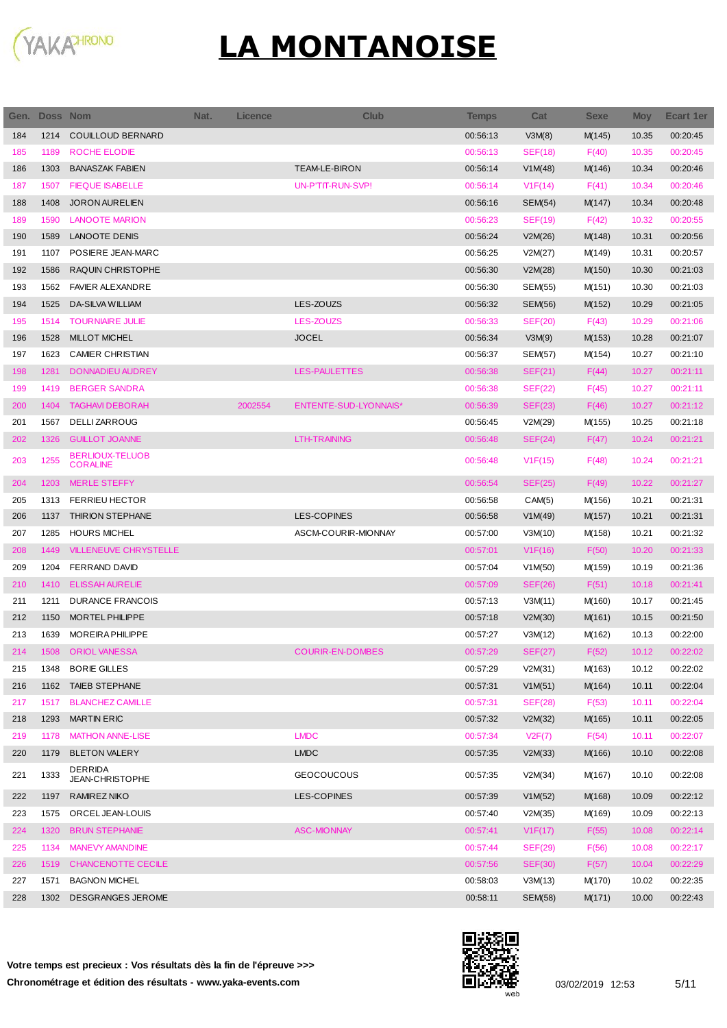

|     | Gen. Doss Nom |                                           | Nat. | Licence | <b>Club</b>              | <b>Temps</b> | Cat            | <b>Sexe</b> | <b>Moy</b> | <b>Ecart 1er</b> |
|-----|---------------|-------------------------------------------|------|---------|--------------------------|--------------|----------------|-------------|------------|------------------|
| 184 | 1214          | <b>COUILLOUD BERNARD</b>                  |      |         |                          | 00:56:13     | V3M(8)         | M(145)      | 10.35      | 00:20:45         |
| 185 | 1189          | ROCHE ELODIE                              |      |         |                          | 00:56:13     | <b>SEF(18)</b> | F(40)       | 10.35      | 00:20:45         |
| 186 | 1303          | <b>BANASZAK FABIEN</b>                    |      |         | <b>TEAM-LE-BIRON</b>     | 00:56:14     | V1M(48)        | M(146)      | 10.34      | 00:20:46         |
| 187 | 1507          | <b>FIEQUE ISABELLE</b>                    |      |         | <b>UN-P'TIT-RUN-SVP!</b> | 00:56:14     | VIF(14)        | F(41)       | 10.34      | 00:20:46         |
| 188 | 1408          | <b>JORON AURELIEN</b>                     |      |         |                          | 00:56:16     | <b>SEM(54)</b> | M(147)      | 10.34      | 00:20:48         |
| 189 | 1590          | <b>LANOOTE MARION</b>                     |      |         |                          | 00:56:23     | <b>SEF(19)</b> | F(42)       | 10.32      | 00:20:55         |
| 190 | 1589          | <b>LANOOTE DENIS</b>                      |      |         |                          | 00:56:24     | V2M(26)        | M(148)      | 10.31      | 00:20:56         |
| 191 | 1107          | POSIERE JEAN-MARC                         |      |         |                          | 00:56:25     | V2M(27)        | M(149)      | 10.31      | 00:20:57         |
| 192 | 1586          | RAQUIN CHRISTOPHE                         |      |         |                          | 00:56:30     | V2M(28)        | M(150)      | 10.30      | 00:21:03         |
| 193 | 1562          | <b>FAVIER ALEXANDRE</b>                   |      |         |                          | 00:56:30     | SEM(55)        | M(151)      | 10.30      | 00:21:03         |
| 194 | 1525          | <b>DA-SILVA WILLIAM</b>                   |      |         | LES-ZOUZS                | 00:56:32     | <b>SEM(56)</b> | M(152)      | 10.29      | 00:21:05         |
| 195 | 1514          | <b>TOURNIAIRE JULIE</b>                   |      |         | <b>LES-ZOUZS</b>         | 00:56:33     | <b>SEF(20)</b> | F(43)       | 10.29      | 00:21:06         |
| 196 | 1528          | <b>MILLOT MICHEL</b>                      |      |         | <b>JOCEL</b>             | 00:56:34     | V3M(9)         | M(153)      | 10.28      | 00:21:07         |
| 197 | 1623          | <b>CAMIER CHRISTIAN</b>                   |      |         |                          | 00:56:37     | <b>SEM(57)</b> | M(154)      | 10.27      | 00:21:10         |
| 198 | 1281          | DONNADIEU AUDREY                          |      |         | <b>LES-PAULETTES</b>     | 00:56:38     | SEF(21)        | F(44)       | 10.27      | 00:21:11         |
| 199 | 1419          | <b>BERGER SANDRA</b>                      |      |         |                          | 00:56:38     | <b>SEF(22)</b> | F(45)       | 10.27      | 00:21:11         |
| 200 | 1404          | <b>TAGHAVI DEBORAH</b>                    |      | 2002554 | ENTENTE-SUD-LYONNAIS*    | 00:56:39     | SEF(23)        | F(46)       | 10.27      | 00:21:12         |
| 201 | 1567          | DELLI ZARROUG                             |      |         |                          | 00:56:45     | V2M(29)        | M(155)      | 10.25      | 00:21:18         |
| 202 | 1326          | <b>GUILLOT JOANNE</b>                     |      |         | LTH-TRAINING             | 00:56:48     | SEF(24)        | F(47)       | 10.24      | 00:21:21         |
| 203 | 1255          | <b>BERLIOUX-TELUOB</b><br><b>CORALINE</b> |      |         |                          | 00:56:48     | V1F(15)        | F(48)       | 10.24      | 00:21:21         |
| 204 | 1203          | <b>MERLE STEFFY</b>                       |      |         |                          | 00:56:54     | <b>SEF(25)</b> | F(49)       | 10.22      | 00:21:27         |
| 205 | 1313          | <b>FERRIEU HECTOR</b>                     |      |         |                          | 00:56:58     | CAM(5)         | M(156)      | 10.21      | 00:21:31         |
| 206 | 1137          | THIRION STEPHANE                          |      |         | <b>LES-COPINES</b>       | 00:56:58     | V1M(49)        | M(157)      | 10.21      | 00:21:31         |
| 207 | 1285          | <b>HOURS MICHEL</b>                       |      |         | ASCM-COURIR-MIONNAY      | 00:57:00     | V3M(10)        | M(158)      | 10.21      | 00:21:32         |
| 208 | 1449          | <b>VILLENEUVE CHRYSTELLE</b>              |      |         |                          | 00:57:01     | V1F(16)        | F(50)       | 10.20      | 00:21:33         |
| 209 | 1204          | <b>FERRAND DAVID</b>                      |      |         |                          | 00:57:04     | V1M(50)        | M(159)      | 10.19      | 00:21:36         |
| 210 | 1410          | <b>ELISSAH AURELIE</b>                    |      |         |                          | 00:57:09     | SEF(26)        | F(51)       | 10.18      | 00:21:41         |
| 211 | 1211          | <b>DURANCE FRANCOIS</b>                   |      |         |                          | 00:57:13     | V3M(11)        | M(160)      | 10.17      | 00:21:45         |
| 212 | 1150          | MORTEL PHILIPPE                           |      |         |                          | 00:57:18     | V2M(30)        | M(161)      | 10.15      | 00:21:50         |
| 213 | 1639          | <b>MOREIRA PHILIPPE</b>                   |      |         |                          | 00:57:27     | V3M(12)        | M(162)      | 10.13      | 00:22:00         |
| 214 |               | 1508 ORIOL VANESSA                        |      |         | <b>COURIR-EN-DOMBES</b>  | 00:57:29     | <b>SEF(27)</b> | F(52)       | 10.12      | 00:22:02         |
| 215 | 1348          | <b>BORIE GILLES</b>                       |      |         |                          | 00:57:29     | V2M(31)        | M(163)      | 10.12      | 00:22:02         |
| 216 | 1162          | <b>TAIEB STEPHANE</b>                     |      |         |                          | 00:57:31     | V1M(51)        | M(164)      | 10.11      | 00:22:04         |
| 217 | 1517          | <b>BLANCHEZ CAMILLE</b>                   |      |         |                          | 00:57:31     | <b>SEF(28)</b> | F(53)       | 10.11      | 00:22:04         |
| 218 | 1293          | <b>MARTIN ERIC</b>                        |      |         |                          | 00:57:32     | V2M(32)        | M(165)      | 10.11      | 00:22:05         |
| 219 | 1178          | <b>MATHON ANNE-LISE</b>                   |      |         | <b>LMDC</b>              | 00:57:34     | V2F(7)         | F(54)       | 10.11      | 00:22:07         |
| 220 | 1179          | <b>BLETON VALERY</b>                      |      |         | <b>LMDC</b>              | 00:57:35     | V2M(33)        | M(166)      | 10.10      | 00:22:08         |
| 221 | 1333          | DERRIDA<br>JEAN-CHRISTOPHE                |      |         | <b>GEOCOUCOUS</b>        | 00:57:35     | V2M(34)        | M(167)      | 10.10      | 00:22:08         |
| 222 | 1197          | RAMIREZ NIKO                              |      |         | LES-COPINES              | 00:57:39     | V1M(52)        | M(168)      | 10.09      | 00:22:12         |
| 223 | 1575          | ORCEL JEAN-LOUIS                          |      |         |                          | 00:57:40     | V2M(35)        | M(169)      | 10.09      | 00:22:13         |
| 224 | 1320          | <b>BRUN STEPHANIE</b>                     |      |         | <b>ASC-MIONNAY</b>       | 00:57:41     | V1F(17)        | F(55)       | 10.08      | 00:22:14         |
| 225 | 1134          | <b>MANEVY AMANDINE</b>                    |      |         |                          | 00:57:44     | <b>SEF(29)</b> | F(56)       | 10.08      | 00:22:17         |
| 226 | 1519          | CHANCENOTTE CECILE                        |      |         |                          | 00:57:56     | <b>SEF(30)</b> | F(57)       | 10.04      | 00:22:29         |
| 227 | 1571          | <b>BAGNON MICHEL</b>                      |      |         |                          | 00:58:03     | V3M(13)        | M(170)      | 10.02      | 00:22:35         |
| 228 |               | 1302 DESGRANGES JEROME                    |      |         |                          | 00:58:11     | <b>SEM(58)</b> | M(171)      | 10.00      | 00:22:43         |

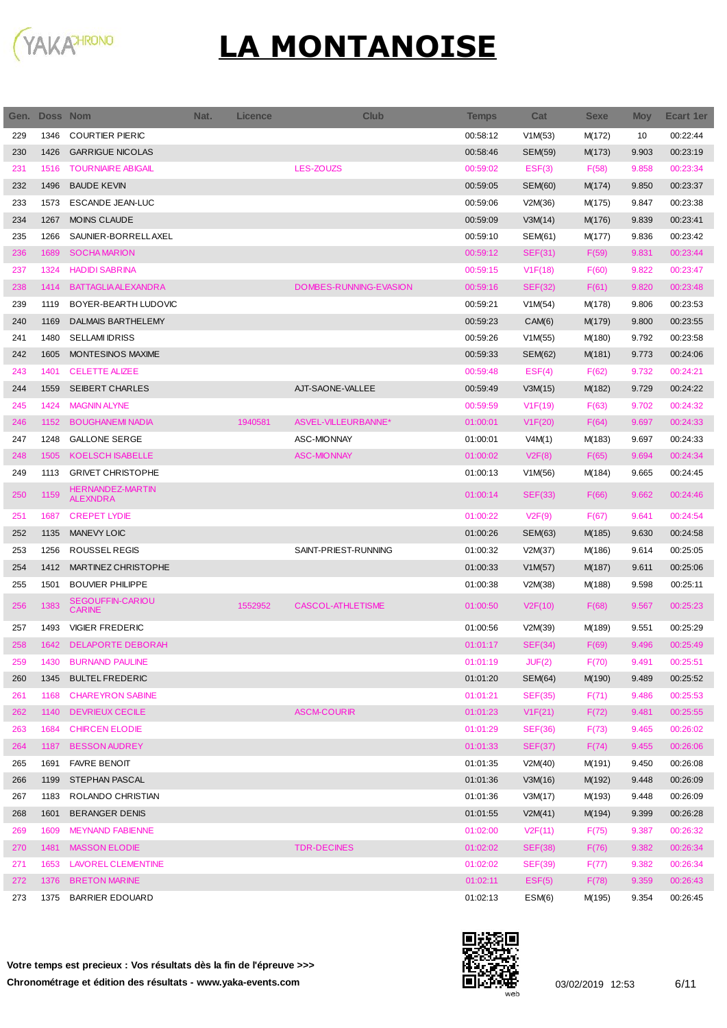

Ī

| Gen. | Doss Nom |                                          | Nat. | Licence | <b>Club</b>              | <b>Temps</b> | Cat            | <b>Sexe</b> | <b>Moy</b> | <b>Ecart 1er</b> |
|------|----------|------------------------------------------|------|---------|--------------------------|--------------|----------------|-------------|------------|------------------|
| 229  | 1346     | <b>COURTIER PIERIC</b>                   |      |         |                          | 00:58:12     | V1M(53)        | M(172)      | 10         | 00:22:44         |
| 230  | 1426     | <b>GARRIGUE NICOLAS</b>                  |      |         |                          | 00:58:46     | SEM(59)        | M(173)      | 9.903      | 00:23:19         |
| 231  | 1516     | <b>TOURNIAIRE ABIGAIL</b>                |      |         | <b>LES-ZOUZS</b>         | 00:59:02     | EST(3)         | F(58)       | 9.858      | 00:23:34         |
| 232  | 1496     | <b>BAUDE KEVIN</b>                       |      |         |                          | 00:59:05     | SEM(60)        | M(174)      | 9.850      | 00:23:37         |
| 233  | 1573     | ESCANDE JEAN-LUC                         |      |         |                          | 00:59:06     | V2M(36)        | M(175)      | 9.847      | 00:23:38         |
| 234  | 1267     | <b>MOINS CLAUDE</b>                      |      |         |                          | 00:59:09     | V3M(14)        | M(176)      | 9.839      | 00:23:41         |
| 235  | 1266     | SAUNIER-BORRELLAXEL                      |      |         |                          | 00:59:10     | SEM(61)        | M(177)      | 9.836      | 00:23:42         |
| 236  | 1689     | <b>SOCHA MARION</b>                      |      |         |                          | 00:59:12     | <b>SEF(31)</b> | F(59)       | 9.831      | 00:23:44         |
| 237  | 1324     | <b>HADIDI SABRINA</b>                    |      |         |                          | 00:59:15     | V1F(18)        | F(60)       | 9.822      | 00:23:47         |
| 238  | 1414     | <b>BATTAGLIA ALEXANDRA</b>               |      |         | DOMBES-RUNNING-EVASION   | 00:59:16     | <b>SEF(32)</b> | F(61)       | 9.820      | 00:23:48         |
| 239  | 1119     | BOYER-BEARTH LUDOVIC                     |      |         |                          | 00:59:21     | V1M(54)        | M(178)      | 9.806      | 00:23:53         |
| 240  | 1169     | <b>DALMAIS BARTHELEMY</b>                |      |         |                          | 00:59:23     | CAM(6)         | M(179)      | 9.800      | 00:23:55         |
| 241  | 1480     | <b>SELLAMI IDRISS</b>                    |      |         |                          | 00:59:26     | V1M(55)        | M(180)      | 9.792      | 00:23:58         |
| 242  | 1605     | MONTESINOS MAXIME                        |      |         |                          | 00:59:33     | SEM(62)        | M(181)      | 9.773      | 00:24:06         |
| 243  | 1401     | <b>CELETTE ALIZEE</b>                    |      |         |                          | 00:59:48     | EST(4)         | F(62)       | 9.732      | 00:24:21         |
| 244  | 1559     | <b>SEIBERT CHARLES</b>                   |      |         | AJT-SAONE-VALLEE         | 00:59:49     | V3M(15)        | M(182)      | 9.729      | 00:24:22         |
| 245  | 1424     | <b>MAGNIN ALYNE</b>                      |      |         |                          | 00:59:59     | V1F(19)        | F(63)       | 9.702      | 00:24:32         |
| 246  | 1152     | <b>BOUGHANEMI NADIA</b>                  |      | 1940581 | ASVEL-VILLEURBANNE*      | 01:00:01     | V1F(20)        | F(64)       | 9.697      | 00:24:33         |
| 247  | 1248     | <b>GALLONE SERGE</b>                     |      |         | ASC-MIONNAY              | 01:00:01     | V4M(1)         | M(183)      | 9.697      | 00:24:33         |
| 248  | 1505     | <b>KOELSCH ISABELLE</b>                  |      |         | <b>ASC-MIONNAY</b>       | 01:00:02     | V2F(8)         | F(65)       | 9.694      | 00:24:34         |
| 249  | 1113     | <b>GRIVET CHRISTOPHE</b>                 |      |         |                          | 01:00:13     | V1M(56)        | M(184)      | 9.665      | 00:24:45         |
| 250  | 1159     | HERNANDEZ-MARTIN<br><b>ALEXNDRA</b>      |      |         |                          | 01:00:14     | <b>SEF(33)</b> | F(66)       | 9.662      | 00:24:46         |
| 251  | 1687     | <b>CREPET LYDIE</b>                      |      |         |                          | 01:00:22     | V2F(9)         | F(67)       | 9.641      | 00:24:54         |
| 252  | 1135     | <b>MANEVY LOIC</b>                       |      |         |                          | 01:00:26     | SEM(63)        | M(185)      | 9.630      | 00:24:58         |
| 253  | 1256     | ROUSSEL REGIS                            |      |         | SAINT-PRIEST-RUNNING     | 01:00:32     | V2M(37)        | M(186)      | 9.614      | 00:25:05         |
| 254  | 1412     | MARTINEZ CHRISTOPHE                      |      |         |                          | 01:00:33     | V1M(57)        | M(187)      | 9.611      | 00:25:06         |
| 255  | 1501     | <b>BOUVIER PHILIPPE</b>                  |      |         |                          | 01:00:38     | V2M(38)        | M(188)      | 9.598      | 00:25:11         |
| 256  | 1383     | <b>SEGOUFFIN-CARIOU</b><br><b>CARINE</b> |      | 1552952 | <b>CASCOL-ATHLETISME</b> | 01:00:50     | V2F(10)        | F(68)       | 9.567      | 00:25:23         |
| 257  | 1493     | <b>VIGIER FREDERIC</b>                   |      |         |                          | 01:00:56     | V2M(39)        | M(189)      | 9.551      | 00:25:29         |
| 258  | 1642     | <b>DELAPORTE DEBORAH</b>                 |      |         |                          | 01:01:17     | SEF(34)        | F(69)       | 9.496      | 00:25:49         |
| 259  | 1430     | <b>BURNAND PAULINE</b>                   |      |         |                          | 01:01:19     | JUF(2)         | F(70)       | 9.491      | 00:25:51         |
| 260  | 1345     | <b>BULTEL FREDERIC</b>                   |      |         |                          | 01:01:20     | <b>SEM(64)</b> | M(190)      | 9.489      | 00:25:52         |
| 261  | 1168     | <b>CHAREYRON SABINE</b>                  |      |         |                          | 01:01:21     | <b>SEF(35)</b> | F(71)       | 9.486      | 00:25:53         |
| 262  | 1140     | DEVRIEUX CECILE                          |      |         | <b>ASCM-COURIR</b>       | 01:01:23     | V1F(21)        | F(72)       | 9.481      | 00:25:55         |
| 263  | 1684     | <b>CHIRCEN ELODIE</b>                    |      |         |                          | 01:01:29     | <b>SEF(36)</b> | F(73)       | 9.465      | 00:26:02         |
| 264  | 1187     | <b>BESSON AUDREY</b>                     |      |         |                          | 01:01:33     | <b>SEF(37)</b> | F(74)       | 9.455      | 00:26:06         |
| 265  | 1691     | <b>FAVRE BENOIT</b>                      |      |         |                          | 01:01:35     | V2M(40)        | M(191)      | 9.450      | 00:26:08         |
| 266  | 1199     | STEPHAN PASCAL                           |      |         |                          | 01:01:36     | V3M(16)        | M(192)      | 9.448      | 00:26:09         |
| 267  | 1183     | ROLANDO CHRISTIAN                        |      |         |                          | 01:01:36     | V3M(17)        | M(193)      | 9.448      | 00:26:09         |
| 268  | 1601     | <b>BERANGER DENIS</b>                    |      |         |                          | 01:01:55     | V2M(41)        | M(194)      | 9.399      | 00:26:28         |
| 269  | 1609     | <b>MEYNAND FABIENNE</b>                  |      |         |                          | 01:02:00     | V2F(11)        | F(75)       | 9.387      | 00:26:32         |
| 270  | 1481     | <b>MASSON ELODIE</b>                     |      |         | <b>TDR-DECINES</b>       | 01:02:02     | <b>SEF(38)</b> | F(76)       | 9.382      | 00:26:34         |
| 271  | 1653     | LAVOREL CLEMENTINE                       |      |         |                          | 01:02:02     | <b>SEF(39)</b> | F(77)       | 9.382      | 00:26:34         |
| 272  | 1376     | <b>BRETON MARINE</b>                     |      |         |                          | 01:02:11     | EST(5)         | F(78)       | 9.359      | 00:26:43         |
| 273  |          | 1375 BARRIER EDOUARD                     |      |         |                          | 01:02:13     | ESM(6)         | M(195)      | 9.354      | 00:26:45         |

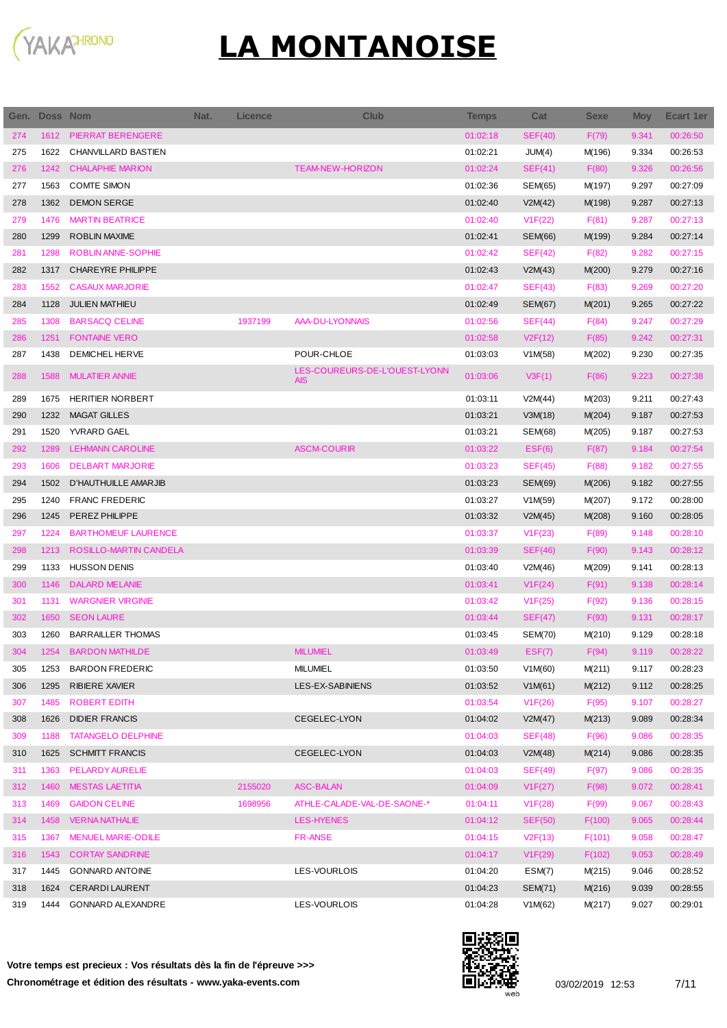

| Gen. | <b>Doss Nom</b> |                            | Nat. | <b>Licence</b> | Club                                        | <b>Temps</b> | Cat            | <b>Sexe</b> | <b>Moy</b> | <b>Ecart 1er</b> |
|------|-----------------|----------------------------|------|----------------|---------------------------------------------|--------------|----------------|-------------|------------|------------------|
| 274  | 1612            | PIERRAT BERENGERE          |      |                |                                             | 01:02:18     | SEF(40)        | F(79)       | 9.341      | 00:26:50         |
| 275  | 1622            | CHANVILLARD BASTIEN        |      |                |                                             | 01:02:21     | JUM(4)         | M(196)      | 9.334      | 00:26:53         |
| 276  | 1242            | <b>CHALAPHIE MARION</b>    |      |                | <b>TEAM-NEW-HORIZON</b>                     | 01:02:24     | SEF(41)        | F(80)       | 9.326      | 00:26:56         |
| 277  | 1563            | <b>COMTE SIMON</b>         |      |                |                                             | 01:02:36     | SEM(65)        | M(197)      | 9.297      | 00:27:09         |
| 278  | 1362            | <b>DEMON SERGE</b>         |      |                |                                             | 01:02:40     | V2M(42)        | M(198)      | 9.287      | 00:27:13         |
| 279  | 1476            | <b>MARTIN BEATRICE</b>     |      |                |                                             | 01:02:40     | V1F(22)        | F(81)       | 9.287      | 00:27:13         |
| 280  | 1299            | <b>ROBLIN MAXIME</b>       |      |                |                                             | 01:02:41     | SEM(66)        | M(199)      | 9.284      | 00:27:14         |
| 281  | 1298            | <b>ROBLIN ANNE-SOPHIE</b>  |      |                |                                             | 01:02:42     | SEF(42)        | F(82)       | 9.282      | 00:27:15         |
| 282  | 1317            | <b>CHAREYRE PHILIPPE</b>   |      |                |                                             | 01:02:43     | V2M(43)        | M(200)      | 9.279      | 00:27:16         |
| 283  | 1552            | <b>CASAUX MARJORIE</b>     |      |                |                                             | 01:02:47     | SEF(43)        | F(83)       | 9.269      | 00:27:20         |
| 284  | 1128            | <b>JULIEN MATHIEU</b>      |      |                |                                             | 01:02:49     | SEM(67)        | M(201)      | 9.265      | 00:27:22         |
| 285  | 1308            | <b>BARSACQ CELINE</b>      |      | 1937199        | AAA-DU-LYONNAIS                             | 01:02:56     | SEF(44)        | F(84)       | 9.247      | 00:27:29         |
| 286  | 1251            | <b>FONTAINE VERO</b>       |      |                |                                             | 01:02:58     | V2F(12)        | F(85)       | 9.242      | 00:27:31         |
| 287  | 1438            | DEMICHEL HERVE             |      |                | POUR-CHLOE                                  | 01:03:03     | V1M(58)        | M(202)      | 9.230      | 00:27:35         |
| 288  | 1588            | <b>MULATIER ANNIE</b>      |      |                | LES-COUREURS-DE-L'OUEST-LYONN<br><b>AIS</b> | 01:03:06     | V3F(1)         | F(86)       | 9.223      | 00:27:38         |
| 289  | 1675            | <b>HERITIER NORBERT</b>    |      |                |                                             | 01:03:11     | V2M(44)        | M(203)      | 9.211      | 00:27:43         |
| 290  | 1232            | <b>MAGAT GILLES</b>        |      |                |                                             | 01:03:21     | V3M(18)        | M(204)      | 9.187      | 00:27:53         |
| 291  | 1520            | YVRARD GAEL                |      |                |                                             | 01:03:21     | SEM(68)        | M(205)      | 9.187      | 00:27:53         |
| 292  | 1289            | <b>LEHMANN CAROLINE</b>    |      |                | <b>ASCM-COURIR</b>                          | 01:03:22     | EST(6)         | F(87)       | 9.184      | 00:27:54         |
| 293  | 1606            | <b>DELBART MARJORIE</b>    |      |                |                                             | 01:03:23     | SEF(45)        | F(88)       | 9.182      | 00:27:55         |
| 294  | 1502            | D'HAUTHUILLE AMARJIB       |      |                |                                             | 01:03:23     | SEM(69)        | M(206)      | 9.182      | 00:27:55         |
| 295  | 1240            | <b>FRANC FREDERIC</b>      |      |                |                                             | 01:03:27     | V1M(59)        | M(207)      | 9.172      | 00:28:00         |
| 296  | 1245            | PEREZ PHILIPPE             |      |                |                                             | 01:03:32     | V2M(45)        | M(208)      | 9.160      | 00:28:05         |
| 297  | 1224            | <b>BARTHOMEUF LAURENCE</b> |      |                |                                             | 01:03:37     | V1F(23)        | F(89)       | 9.148      | 00:28:10         |
| 298  | 1213            | ROSILLO-MARTIN CANDELA     |      |                |                                             | 01:03:39     | SEF(46)        | F(90)       | 9.143      | 00:28:12         |
| 299  | 1133            | <b>HUSSON DENIS</b>        |      |                |                                             | 01:03:40     | V2M(46)        | M(209)      | 9.141      | 00:28:13         |
| 300  | 1146            | <b>DALARD MELANIE</b>      |      |                |                                             | 01:03:41     | V1F(24)        | F(91)       | 9.138      | 00:28:14         |
| 301  | 1131            | <b>WARGNIER VIRGINIE</b>   |      |                |                                             | 01:03:42     | V1F(25)        | F(92)       | 9.136      | 00:28:15         |
| 302  | 1650            | <b>SEON LAURE</b>          |      |                |                                             | 01:03:44     | SEF(47)        | F(93)       | 9.131      | 00:28:17         |
| 303  | 1260            | <b>BARRAILLER THOMAS</b>   |      |                |                                             | 01:03:45     | <b>SEM(70)</b> | M(210)      | 9.129      | 00:28:18         |
| 304  | 1254            | <b>BARDON MATHILDE</b>     |      |                | <b>MILUMIEL</b>                             | 01:03:49     | EST(7)         | F(94)       | 9.119      | 00:28:22         |
| 305  | 1253            | <b>BARDON FREDERIC</b>     |      |                | <b>MILUMIEL</b>                             | 01:03:50     | V1M(60)        | M(211)      | 9.117      | 00:28:23         |
| 306  | 1295            | <b>RIBIERE XAVIER</b>      |      |                | LES-EX-SABINIENS                            | 01:03:52     | V1M(61)        | M(212)      | 9.112      | 00:28:25         |
| 307  | 1485            | ROBERT EDITH               |      |                |                                             | 01:03:54     | V1F(26)        | F(95)       | 9.107      | 00:28:27         |
| 308  | 1626            | <b>DIDIER FRANCIS</b>      |      |                | CEGELEC-LYON                                | 01:04:02     | V2M(47)        | M(213)      | 9.089      | 00:28:34         |
| 309  | 1188            | <b>TATANGELO DELPHINE</b>  |      |                |                                             | 01:04:03     | <b>SEF(48)</b> | F(96)       | 9.086      | 00:28:35         |
| 310  | 1625            | <b>SCHMITT FRANCIS</b>     |      |                | CEGELEC-LYON                                | 01:04:03     | V2M(48)        | M(214)      | 9.086      | 00:28:35         |
| 311  | 1363            | <b>PELARDY AURELIE</b>     |      |                |                                             | 01:04:03     | SEF(49)        | F(97)       | 9.086      | 00:28:35         |
| 312  | 1460            | <b>MESTAS LAETITIA</b>     |      | 2155020        | <b>ASC-BALAN</b>                            | 01:04:09     | V1F(27)        | F(98)       | 9.072      | 00:28:41         |
| 313  | 1469            | <b>GAIDON CELINE</b>       |      | 1698956        | ATHLE-CALADE-VAL-DE-SAONE-*                 | 01:04:11     | V1F(28)        | F(99)       | 9.067      | 00:28:43         |
| 314  | 1458            | <b>VERNA NATHALIE</b>      |      |                | LES-HYENES                                  | 01:04:12     | <b>SEF(50)</b> | F(100)      | 9.065      | 00:28:44         |
| 315  | 1367            | <b>MENUEL MARIE-ODILE</b>  |      |                | <b>FR-ANSE</b>                              | 01:04:15     | V2F(13)        | F(101)      | 9.058      | 00:28:47         |
| 316  | 1543            | <b>CORTAY SANDRINE</b>     |      |                |                                             | 01:04:17     | V1F(29)        | F(102)      | 9.053      | 00:28:49         |
| 317  | 1445            | <b>GONNARD ANTOINE</b>     |      |                | LES-VOURLOIS                                | 01:04:20     | ESM(7)         | M(215)      | 9.046      | 00:28:52         |
| 318  | 1624            | <b>CERARDI LAURENT</b>     |      |                |                                             | 01:04:23     | SEM(71)        | M(216)      | 9.039      | 00:28:55         |
| 319  | 1444            | GONNARD ALEXANDRE          |      |                | LES-VOURLOIS                                | 01:04:28     | V1M(62)        | M(217)      | 9.027      | 00:29:01         |

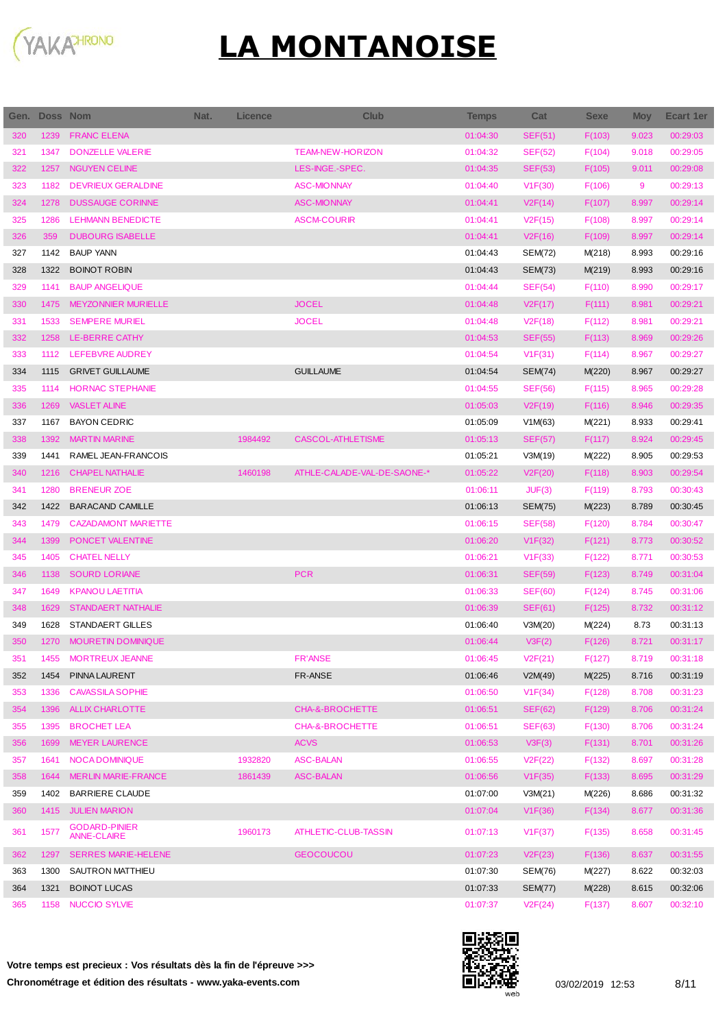

| Gen.       | <b>Doss Nom</b> |                                                | Nat. | <b>Licence</b>     | <b>Club</b>                          | <b>Temps</b>         | Cat                | <b>Sexe</b> | <b>Moy</b> | <b>Ecart 1er</b>     |
|------------|-----------------|------------------------------------------------|------|--------------------|--------------------------------------|----------------------|--------------------|-------------|------------|----------------------|
| 320        | 1239            | <b>FRANC ELENA</b>                             |      |                    |                                      | 01:04:30             | <b>SEF(51)</b>     | F(103)      | 9.023      | 00:29:03             |
| 321        | 1347            | <b>DONZELLE VALERIE</b>                        |      |                    | <b>TEAM-NEW-HORIZON</b>              | 01:04:32             | <b>SEF(52)</b>     | F(104)      | 9.018      | 00:29:05             |
| 322        | 1257            | <b>NGUYEN CELINE</b>                           |      |                    | LES-INGE.-SPEC.                      | 01:04:35             | <b>SEF(53)</b>     | F(105)      | 9.011      | 00:29:08             |
| 323        | 1182            | <b>DEVRIEUX GERALDINE</b>                      |      |                    | <b>ASC-MIONNAY</b>                   | 01:04:40             | V1F(30)            | F(106)      | 9          | 00:29:13             |
| 324        | 1278            | <b>DUSSAUGE CORINNE</b>                        |      |                    | <b>ASC-MIONNAY</b>                   | 01:04:41             | V2F(14)            | F(107)      | 8.997      | 00:29:14             |
| 325        | 1286            | <b>LEHMANN BENEDICTE</b>                       |      |                    | <b>ASCM-COURIR</b>                   | 01:04:41             | V2F(15)            | F(108)      | 8.997      | 00:29:14             |
| 326        | 359             | <b>DUBOURG ISABELLE</b>                        |      |                    |                                      | 01:04:41             | V2F(16)            | F(109)      | 8.997      | 00:29:14             |
| 327        | 1142            | <b>BAUP YANN</b>                               |      |                    |                                      | 01:04:43             | <b>SEM(72)</b>     | M(218)      | 8.993      | 00:29:16             |
| 328        | 1322            | <b>BOINOT ROBIN</b>                            |      |                    |                                      | 01:04:43             | <b>SEM(73)</b>     | M(219)      | 8.993      | 00:29:16             |
| 329        | 1141            | <b>BAUP ANGELIQUE</b>                          |      |                    |                                      | 01:04:44             | <b>SEF(54)</b>     | F(110)      | 8.990      | 00:29:17             |
| 330        | 1475            | <b>MEYZONNIER MURIELLE</b>                     |      |                    | <b>JOCEL</b>                         | 01:04:48             | V2F(17)            | F(111)      | 8.981      | 00:29:21             |
| 331        | 1533            | <b>SEMPERE MURIEL</b>                          |      |                    | <b>JOCEL</b>                         | 01:04:48             | V2F(18)            | F(112)      | 8.981      | 00:29:21             |
| 332        | 1258            | <b>LE-BERRE CATHY</b>                          |      |                    |                                      | 01:04:53             | <b>SEF(55)</b>     | F(113)      | 8.969      | 00:29:26             |
| 333        | 1112            | LEFEBVRE AUDREY                                |      |                    |                                      | 01:04:54             | V1F(31)            | F(114)      | 8.967      | 00:29:27             |
| 334        | 1115            | <b>GRIVET GUILLAUME</b>                        |      |                    | <b>GUILLAUME</b>                     | 01:04:54             | <b>SEM(74)</b>     | M(220)      | 8.967      | 00:29:27             |
| 335        | 1114            | <b>HORNAC STEPHANIE</b>                        |      |                    |                                      | 01:04:55             | <b>SEF(56)</b>     | F(115)      | 8.965      | 00:29:28             |
| 336        | 1269            | <b>VASLET ALINE</b>                            |      |                    |                                      | 01:05:03             | V2F(19)            | F(116)      | 8.946      | 00:29:35             |
| 337        | 1167            | <b>BAYON CEDRIC</b>                            |      |                    |                                      | 01:05:09             | V1M(63)            | M(221)      | 8.933      | 00:29:41             |
| 338        | 1392            | <b>MARTIN MARINE</b>                           |      | 1984492            | <b>CASCOL-ATHLETISME</b>             | 01:05:13             | <b>SEF(57)</b>     | F(117)      | 8.924      | 00:29:45             |
| 339        | 1441            | RAMEL JEAN-FRANCOIS                            |      |                    |                                      | 01:05:21             | V3M(19)            | M(222)      | 8.905      | 00:29:53             |
| 340        | 1216            | <b>CHAPEL NATHALIE</b>                         |      | 1460198            | ATHLE-CALADE-VAL-DE-SAONE-*          | 01:05:22             | V2F(20)            | F(118)      | 8.903      | 00:29:54             |
| 341        | 1280            | <b>BRENEUR ZOE</b>                             |      |                    |                                      | 01:06:11             | JUF(3)             | F(119)      | 8.793      | 00:30:43             |
| 342        | 1422            | <b>BARACAND CAMILLE</b>                        |      |                    |                                      | 01:06:13             | SEM(75)            | M(223)      | 8.789      | 00:30:45             |
| 343        | 1479            | <b>CAZADAMONT MARIETTE</b>                     |      |                    |                                      | 01:06:15             | <b>SEF(58)</b>     | F(120)      | 8.784      | 00:30:47             |
| 344        | 1399            | PONCET VALENTINE                               |      |                    |                                      | 01:06:20             | V1F(32)            | F(121)      | 8.773      | 00:30:52             |
| 345        | 1405            | <b>CHATEL NELLY</b>                            |      |                    |                                      | 01:06:21             | V1F(33)            | F(122)      | 8.771      | 00:30:53             |
| 346        | 1138            | <b>SOURD LORIANE</b>                           |      |                    | <b>PCR</b>                           | 01:06:31             | <b>SEF(59)</b>     | F(123)      | 8.749      | 00:31:04             |
| 347        | 1649            | <b>KPANOU LAETITIA</b>                         |      |                    |                                      | 01:06:33             | <b>SEF(60)</b>     | F(124)      | 8.745      | 00:31:06             |
| 348        | 1629            | <b>STANDAERT NATHALIE</b>                      |      |                    |                                      | 01:06:39             | <b>SEF(61)</b>     | F(125)      | 8.732      | 00:31:12             |
| 349        | 1628            | STANDAERT GILLES                               |      |                    |                                      | 01:06:40             | V3M(20)            | M(224)      | 8.73       | 00:31:13             |
| 350        | 1270            | MOURETIN DOMINIQUE                             |      |                    |                                      | 01:06:44             | V3F(2)             | F(126)      | 8.721      | 00:31:17             |
| 351        | 1455            | MORTREUX JEANNE                                |      |                    | <b>FR'ANSE</b>                       | 01:06:45             | V2F(21)            | F(127)      | 8.719      | 00:31:18             |
| 352        | 1454            | PINNA LAURENT                                  |      |                    | FR-ANSE                              | 01:06:46             | V2M(49)            | M(225)      | 8.716      | 00:31:19             |
| 353        | 1336            | <b>CAVASSILA SOPHIE</b>                        |      |                    |                                      | 01:06:50             | V1F(34)            | F(128)      | 8.708      | 00:31:23             |
| 354        | 1396            | <b>ALLIX CHARLOTTE</b>                         |      |                    | CHA-&-BROCHETTE                      | 01:06:51             | <b>SEF(62)</b>     | F(129)      | 8.706      | 00:31:24             |
| 355        | 1395            | <b>BROCHET LEA</b>                             |      |                    | CHA-&-BROCHETTE                      | 01:06:51             | <b>SEF(63)</b>     | F(130)      | 8.706      | 00:31:24             |
| 356        | 1699            | <b>MEYER LAURENCE</b>                          |      |                    | <b>ACVS</b>                          | 01:06:53             | V3F(3)             | F(131)      | 8.701      | 00:31:26             |
| 357<br>358 | 1641<br>1644    | NOCA DOMINIQUE<br><b>MERLIN MARIE-FRANCE</b>   |      | 1932820<br>1861439 | <b>ASC-BALAN</b><br><b>ASC-BALAN</b> | 01:06:55<br>01:06:56 | V2F(22)            | F(132)      | 8.697      | 00:31:28<br>00:31:29 |
|            | 1402            |                                                |      |                    |                                      |                      | V1F(35)<br>V3M(21) | F(133)      | 8.695      |                      |
| 359<br>360 | 1415            | <b>BARRIERE CLAUDE</b><br><b>JULIEN MARION</b> |      |                    |                                      | 01:07:00<br>01:07:04 |                    | M(226)      | 8.686      | 00:31:32<br>00:31:36 |
|            |                 | <b>GODARD-PINIER</b>                           |      |                    |                                      |                      | V1F(36)            | F(134)      | 8.677      |                      |
| 361        | 1577            | <b>ANNE-CLAIRE</b>                             |      | 1960173            | ATHLETIC-CLUB-TASSIN                 | 01:07:13             | V1F(37)            | F(135)      | 8.658      | 00:31:45             |
| 362        | 1297            | <b>SERRES MARIE-HELENE</b>                     |      |                    | <b>GEOCOUCOU</b>                     | 01:07:23             | V2F(23)            | F(136)      | 8.637      | 00:31:55             |
| 363        | 1300            | SAUTRON MATTHIEU                               |      |                    |                                      | 01:07:30             | SEM(76)            | M(227)      | 8.622      | 00:32:03             |
| 364        | 1321            | <b>BOINOT LUCAS</b>                            |      |                    |                                      | 01:07:33             | <b>SEM(77)</b>     | M(228)      | 8.615      | 00:32:06             |
| 365        | 1158            | <b>NUCCIO SYLVIE</b>                           |      |                    |                                      | 01:07:37             | V2F(24)            | F(137)      | 8.607      | 00:32:10             |

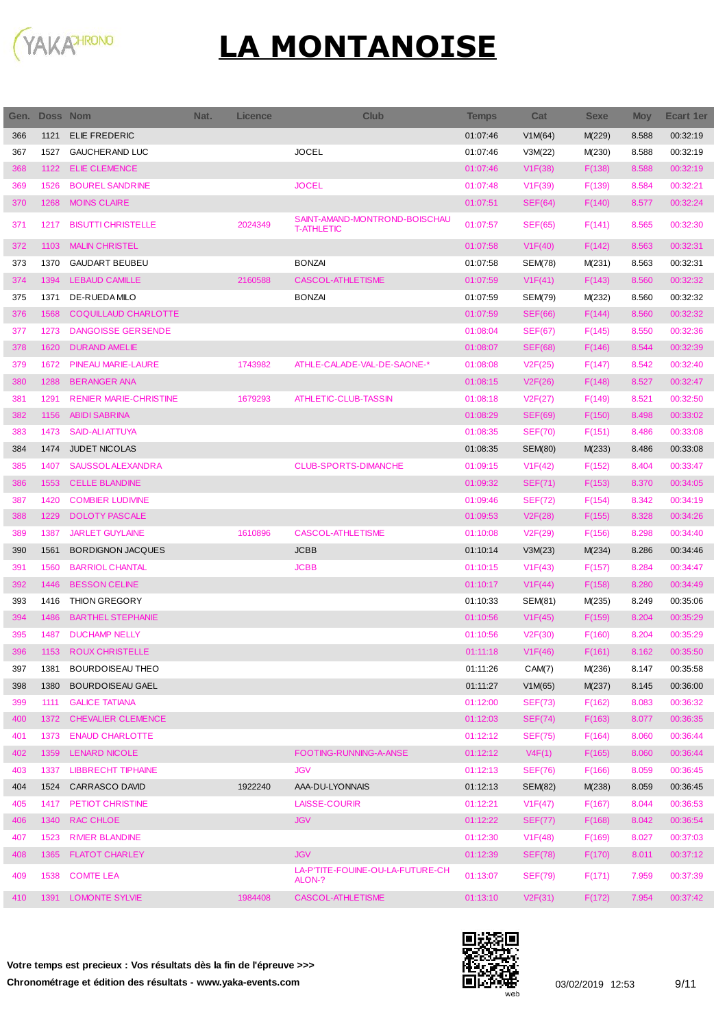

I

| Gen. | <b>Doss Nom</b> |                               | Nat. | <b>Licence</b> | <b>Club</b>                                        | Temps    | Cat            | <b>Sexe</b> | <b>Moy</b> | Ecart 1er |
|------|-----------------|-------------------------------|------|----------------|----------------------------------------------------|----------|----------------|-------------|------------|-----------|
| 366  | 1121            | <b>ELIE FREDERIC</b>          |      |                |                                                    | 01:07:46 | V1M(64)        | M(229)      | 8.588      | 00:32:19  |
| 367  | 1527            | <b>GAUCHERAND LUC</b>         |      |                | <b>JOCEL</b>                                       | 01:07:46 | V3M(22)        | M(230)      | 8.588      | 00:32:19  |
| 368  | 1122            | <b>ELIE CLEMENCE</b>          |      |                |                                                    | 01:07:46 | V1F(38)        | F(138)      | 8.588      | 00:32:19  |
| 369  | 1526            | <b>BOUREL SANDRINE</b>        |      |                | <b>JOCEL</b>                                       | 01:07:48 | V1F(39)        | F(139)      | 8.584      | 00:32:21  |
| 370  | 1268            | <b>MOINS CLAIRE</b>           |      |                |                                                    | 01:07:51 | SEF(64)        | F(140)      | 8.577      | 00:32:24  |
| 371  | 1217            | <b>BISUTTI CHRISTELLE</b>     |      | 2024349        | SAINT-AMAND-MONTROND-BOISCHAU<br><b>T-ATHLETIC</b> | 01:07:57 | <b>SEF(65)</b> | F(141)      | 8.565      | 00:32:30  |
| 372  | 1103            | <b>MALIN CHRISTEL</b>         |      |                |                                                    | 01:07:58 | V1F(40)        | F(142)      | 8.563      | 00:32:31  |
| 373  | 1370            | <b>GAUDART BEUBEU</b>         |      |                | <b>BONZAI</b>                                      | 01:07:58 | SEM(78)        | M(231)      | 8.563      | 00:32:31  |
| 374  | 1394            | <b>LEBAUD CAMILLE</b>         |      | 2160588        | <b>CASCOL-ATHLETISME</b>                           | 01:07:59 | V1F(41)        | F(143)      | 8.560      | 00:32:32  |
| 375  | 1371            | DE-RUEDA MILO                 |      |                | <b>BONZAI</b>                                      | 01:07:59 | SEM(79)        | M(232)      | 8.560      | 00:32:32  |
| 376  | 1568            | COQUILLAUD CHARLOTTE          |      |                |                                                    | 01:07:59 | <b>SEF(66)</b> | F(144)      | 8.560      | 00:32:32  |
| 377  | 1273            | <b>DANGOISSE GERSENDE</b>     |      |                |                                                    | 01:08:04 | <b>SEF(67)</b> | F(145)      | 8.550      | 00:32:36  |
| 378  | 1620            | <b>DURAND AMELIE</b>          |      |                |                                                    | 01:08:07 | <b>SEF(68)</b> | F(146)      | 8.544      | 00:32:39  |
| 379  | 1672            | PINEAU MARIE-LAURE            |      | 1743982        | ATHLE-CALADE-VAL-DE-SAONE-*                        | 01:08:08 | V2F(25)        | F(147)      | 8.542      | 00:32:40  |
| 380  | 1288            | <b>BERANGER ANA</b>           |      |                |                                                    | 01:08:15 | V2F(26)        | F(148)      | 8.527      | 00:32:47  |
| 381  | 1291            | <b>RENIER MARIE-CHRISTINE</b> |      | 1679293        | ATHLETIC-CLUB-TASSIN                               | 01:08:18 | V2F(27)        | F(149)      | 8.521      | 00:32:50  |
| 382  | 1156            | <b>ABIDI SABRINA</b>          |      |                |                                                    | 01:08:29 | <b>SEF(69)</b> | F(150)      | 8.498      | 00:33:02  |
| 383  | 1473            | <b>SAID-ALI ATTUYA</b>        |      |                |                                                    | 01:08:35 | <b>SEF(70)</b> | F(151)      | 8.486      | 00:33:08  |
| 384  | 1474            | <b>JUDET NICOLAS</b>          |      |                |                                                    | 01:08:35 | <b>SEM(80)</b> | M(233)      | 8.486      | 00:33:08  |
| 385  | 1407            | <b>SAUSSOLALEXANDRA</b>       |      |                | <b>CLUB-SPORTS-DIMANCHE</b>                        | 01:09:15 | V1F(42)        | F(152)      | 8.404      | 00:33:47  |
| 386  | 1553            | <b>CELLE BLANDINE</b>         |      |                |                                                    | 01:09:32 | <b>SEF(71)</b> | F(153)      | 8.370      | 00:34:05  |
| 387  | 1420            | <b>COMBIER LUDIVINE</b>       |      |                |                                                    | 01:09:46 | <b>SEF(72)</b> | F(154)      | 8.342      | 00:34:19  |
| 388  | 1229            | <b>DOLOTY PASCALE</b>         |      |                |                                                    | 01:09:53 | V2F(28)        | F(155)      | 8.328      | 00:34:26  |
| 389  | 1387            | <b>JARLET GUYLAINE</b>        |      | 1610896        | <b>CASCOL-ATHLETISME</b>                           | 01:10:08 | V2F(29)        | F(156)      | 8.298      | 00:34:40  |
| 390  | 1561            | <b>BORDIGNON JACQUES</b>      |      |                | <b>JCBB</b>                                        | 01:10:14 | V3M(23)        | M(234)      | 8.286      | 00:34:46  |
| 391  | 1560            | <b>BARRIOL CHANTAL</b>        |      |                | <b>JCBB</b>                                        | 01:10:15 | V1F(43)        | F(157)      | 8.284      | 00:34:47  |
| 392  | 1446            | <b>BESSON CELINE</b>          |      |                |                                                    | 01:10:17 | V1F(44)        | F(158)      | 8.280      | 00:34:49  |
| 393  | 1416            | <b>THION GREGORY</b>          |      |                |                                                    | 01:10:33 | SEM(81)        | M(235)      | 8.249      | 00:35:06  |
| 394  | 1486            | <b>BARTHEL STEPHANIE</b>      |      |                |                                                    | 01:10:56 | V1F(45)        | F(159)      | 8.204      | 00:35:29  |
| 395  | 1487            | <b>DUCHAMP NELLY</b>          |      |                |                                                    | 01:10:56 | V2F(30)        | F(160)      | 8.204      | 00:35:29  |
| 396  |                 | 1153 ROUX CHRISTELLE          |      |                |                                                    | 01:11:18 | V1F(46)        | F(161)      | 8.162      | 00:35:50  |
| 397  | 1381            | BOURDOISEAU THEO              |      |                |                                                    | 01:11:26 | CAM(7)         | M(236)      | 8.147      | 00:35:58  |
| 398  | 1380            | <b>BOURDOISEAU GAEL</b>       |      |                |                                                    | 01:11:27 | V1M(65)        | M(237)      | 8.145      | 00:36:00  |
| 399  | 1111            | <b>GALICE TATIANA</b>         |      |                |                                                    | 01:12:00 | <b>SEF(73)</b> | F(162)      | 8.083      | 00:36:32  |
| 400  | 1372            | <b>CHEVALIER CLEMENCE</b>     |      |                |                                                    | 01:12:03 | SEF(74)        | F(163)      | 8.077      | 00:36:35  |
| 401  | 1373            | <b>ENAUD CHARLOTTE</b>        |      |                |                                                    | 01:12:12 | <b>SEF(75)</b> | F(164)      | 8.060      | 00:36:44  |
| 402  | 1359            | LENARD NICOLE                 |      |                | FOOTING-RUNNING-A-ANSE                             | 01:12:12 | V4F(1)         | F(165)      | 8.060      | 00:36:44  |
| 403  | 1337            | <b>LIBBRECHT TIPHAINE</b>     |      |                | <b>JGV</b>                                         | 01:12:13 | <b>SEF(76)</b> | F(166)      | 8.059      | 00:36:45  |
| 404  |                 | 1524 CARRASCO DAVID           |      | 1922240        | AAA-DU-LYONNAIS                                    | 01:12:13 | <b>SEM(82)</b> | M(238)      | 8.059      | 00:36:45  |
| 405  | 1417            | PETIOT CHRISTINE              |      |                | <b>LAISSE-COURIR</b>                               | 01:12:21 | V1F(47)        | F(167)      | 8.044      | 00:36:53  |
| 406  | 1340            | RAC CHLOE                     |      |                | <b>JGV</b>                                         | 01:12:22 | <b>SEF(77)</b> | F(168)      | 8.042      | 00:36:54  |
| 407  | 1523            | <b>RIVIER BLANDINE</b>        |      |                |                                                    | 01:12:30 | V1F(48)        | F(169)      | 8.027      | 00:37:03  |
| 408  |                 | 1365 FLATOT CHARLEY           |      |                | <b>JGV</b>                                         | 01:12:39 | <b>SEF(78)</b> | F(170)      | 8.011      | 00:37:12  |
| 409  | 1538            | <b>COMTE LEA</b>              |      |                | LA-P'TITE-FOUINE-OU-LA-FUTURE-CH<br>ALON-?         | 01:13:07 | <b>SEF(79)</b> | F(171)      | 7.959      | 00:37:39  |
| 410  |                 | 1391 LOMONTE SYLVIE           |      | 1984408        | CASCOL-ATHLETISME                                  | 01:13:10 | V2F(31)        | F(172)      | 7.954      | 00:37:42  |

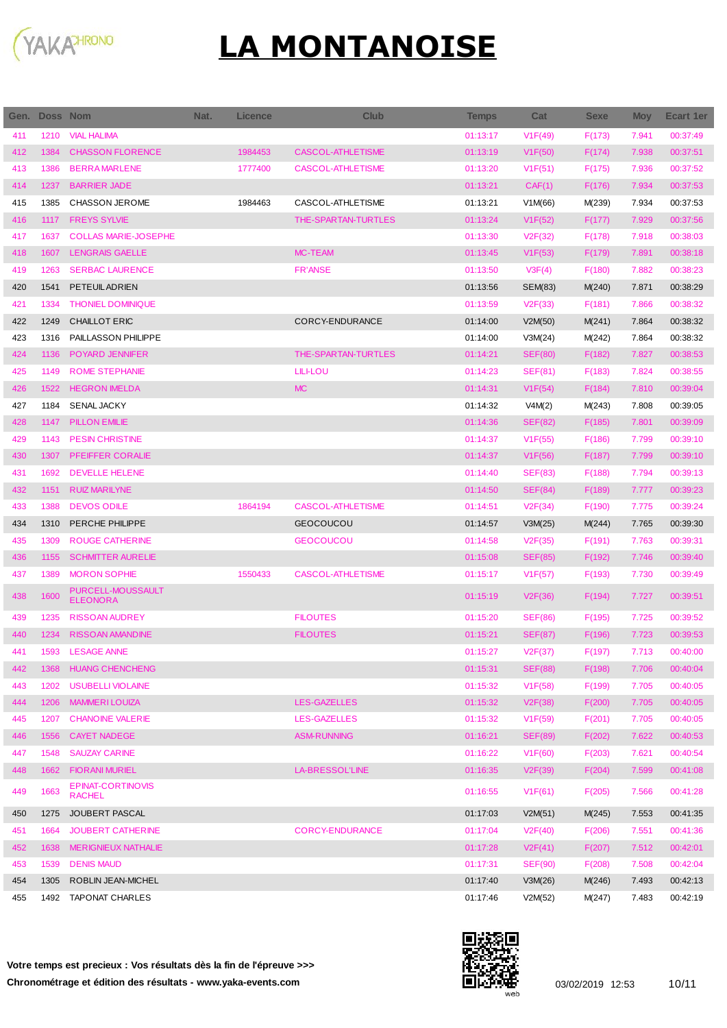

| Gen. | Doss Nom |                                           | Nat. | <b>Licence</b> | <b>Club</b>              | <b>Temps</b> | Cat                  | <b>Sexe</b> | <b>Moy</b> | Ecart 1er |
|------|----------|-------------------------------------------|------|----------------|--------------------------|--------------|----------------------|-------------|------------|-----------|
| 411  | 1210     | <b>VIAL HALIMA</b>                        |      |                |                          | 01:13:17     | V1F(49)              | F(173)      | 7.941      | 00:37:49  |
| 412  | 1384     | <b>CHASSON FLORENCE</b>                   |      | 1984453        | <b>CASCOL-ATHLETISME</b> | 01:13:19     | V1F(50)              | F(174)      | 7.938      | 00:37:51  |
| 413  | 1386     | <b>BERRAMARLENE</b>                       |      | 1777400        | <b>CASCOL-ATHLETISME</b> | 01:13:20     | V1F(51)              | F(175)      | 7.936      | 00:37:52  |
| 414  | 1237     | <b>BARRIER JADE</b>                       |      |                |                          | 01:13:21     | CAF(1)               | F(176)      | 7.934      | 00:37:53  |
| 415  | 1385     | <b>CHASSON JEROME</b>                     |      | 1984463        | CASCOL-ATHLETISME        | 01:13:21     | V1M(66)              | M(239)      | 7.934      | 00:37:53  |
| 416  | 1117     | <b>FREYS SYLVIE</b>                       |      |                | THE-SPARTAN-TURTLES      | 01:13:24     | V1F(52)              | F(177)      | 7.929      | 00:37:56  |
| 417  | 1637     | <b>COLLAS MARIE-JOSEPHE</b>               |      |                |                          | 01:13:30     | V2F(32)              | F(178)      | 7.918      | 00:38:03  |
| 418  | 1607     | <b>LENGRAIS GAELLE</b>                    |      |                | <b>MC-TEAM</b>           | 01:13:45     | V1F(53)              | F(179)      | 7.891      | 00:38:18  |
| 419  | 1263     | <b>SERBAC LAURENCE</b>                    |      |                | <b>FR'ANSE</b>           | 01:13:50     | V3F(4)               | F(180)      | 7.882      | 00:38:23  |
| 420  | 1541     | <b>PETEUILADRIEN</b>                      |      |                |                          | 01:13:56     | <b>SEM(83)</b>       | M(240)      | 7.871      | 00:38:29  |
| 421  | 1334     | <b>THONIEL DOMINIQUE</b>                  |      |                |                          | 01:13:59     | V2F(33)              | F(181)      | 7.866      | 00:38:32  |
| 422  | 1249     | <b>CHAILLOT ERIC</b>                      |      |                | CORCY-ENDURANCE          | 01:14:00     | V2M(50)              | M(241)      | 7.864      | 00:38:32  |
| 423  | 1316     | PAILLASSON PHILIPPE                       |      |                |                          | 01:14:00     | V3M(24)              | M(242)      | 7.864      | 00:38:32  |
| 424  | 1136     | POYARD JENNIFER                           |      |                | THE-SPARTAN-TURTLES      | 01:14:21     | <b>SEF(80)</b>       | F(182)      | 7.827      | 00:38:53  |
| 425  | 1149     | <b>ROME STEPHANIE</b>                     |      |                | <b>LILI-LOU</b>          | 01:14:23     | SEF(81)              | F(183)      | 7.824      | 00:38:55  |
| 426  | 1522     | <b>HEGRON IMELDA</b>                      |      |                | <b>MC</b>                | 01:14:31     | V1F(54)              | F(184)      | 7.810      | 00:39:04  |
| 427  | 1184     | <b>SENAL JACKY</b>                        |      |                |                          | 01:14:32     | V4M(2)               | M(243)      | 7.808      | 00:39:05  |
| 428  | 1147     | <b>PILLON EMILIE</b>                      |      |                |                          | 01:14:36     | <b>SEF(82)</b>       | F(185)      | 7.801      | 00:39:09  |
| 429  | 1143     | <b>PESIN CHRISTINE</b>                    |      |                |                          | 01:14:37     | V1F(55)              | F(186)      | 7.799      | 00:39:10  |
| 430  | 1307     | PFEIFFER CORALIE                          |      |                |                          | 01:14:37     | V1F(56)              | F(187)      | 7.799      | 00:39:10  |
| 431  | 1692     | <b>DEVELLE HELENE</b>                     |      |                |                          | 01:14:40     | <b>SEF(83)</b>       | F(188)      | 7.794      | 00:39:13  |
| 432  | 1151     | <b>RUIZ MARILYNE</b>                      |      |                |                          | 01:14:50     | <b>SEF(84)</b>       | F(189)      | 7.777      | 00:39:23  |
| 433  | 1388     | <b>DEVOS ODILE</b>                        |      | 1864194        | <b>CASCOL-ATHLETISME</b> | 01:14:51     | V2F(34)              | F(190)      | 7.775      | 00:39:24  |
| 434  | 1310     | PERCHE PHILIPPE                           |      |                | <b>GEOCOUCOU</b>         | 01:14:57     | V3M(25)              | M(244)      | 7.765      | 00:39:30  |
| 435  | 1309     | <b>ROUGE CATHERINE</b>                    |      |                | <b>GEOCOUCOU</b>         | 01:14:58     | V2F(35)              | F(191)      | 7.763      | 00:39:31  |
| 436  | 1155     | <b>SCHMITTER AURELIE</b>                  |      |                |                          | 01:15:08     | <b>SEF(85)</b>       | F(192)      | 7.746      | 00:39:40  |
| 437  | 1389     | <b>MORON SOPHIE</b>                       |      | 1550433        | <b>CASCOL-ATHLETISME</b> | 01:15:17     | V1F(57)              | F(193)      | 7.730      | 00:39:49  |
| 438  | 1600     | PURCELL-MOUSSAULT<br><b>ELEONORA</b>      |      |                |                          | 01:15:19     | V2F(36)              | F(194)      | 7.727      | 00:39:51  |
| 439  | 1235     | <b>RISSOAN AUDREY</b>                     |      |                | <b>FILOUTES</b>          | 01:15:20     | <b>SEF(86)</b>       | F(195)      | 7.725      | 00:39:52  |
| 440  | 1234     | <b>RISSOAN AMANDINE</b>                   |      |                | <b>FILOUTES</b>          | 01:15:21     | <b>SEF(87)</b>       | F(196)      | 7.723      | 00:39:53  |
| 441  |          | 1593 LESAGE ANNE                          |      |                |                          | 01:15:27     | V <sub>2</sub> F(37) | F(197)      | 7.713      | 00:40:00  |
| 442  | 1368     | <b>HUANG CHENCHENG</b>                    |      |                |                          | 01:15:31     | <b>SEF(88)</b>       | F(198)      | 7.706      | 00:40:04  |
| 443  | 1202     | <b>USUBELLI VIOLAINE</b>                  |      |                |                          | 01:15:32     | V1F(58)              | F(199)      | 7.705      | 00:40:05  |
| 444  | 1206     | <b>MAMMERILOUIZA</b>                      |      |                | <b>LES-GAZELLES</b>      | 01:15:32     | V2F(38)              | F(200)      | 7.705      | 00:40:05  |
| 445  | 1207     | <b>CHANOINE VALERIE</b>                   |      |                | <b>LES-GAZELLES</b>      | 01:15:32     | V1F(59)              | F(201)      | 7.705      | 00:40:05  |
| 446  | 1556     | <b>CAYET NADEGE</b>                       |      |                | <b>ASM-RUNNING</b>       | 01:16:21     | <b>SEF(89)</b>       | F(202)      | 7.622      | 00:40:53  |
| 447  | 1548     | <b>SAUZAY CARINE</b>                      |      |                |                          | 01:16:22     | V1F(60)              | F(203)      | 7.621      | 00:40:54  |
| 448  | 1662     | <b>FIORANI MURIEL</b>                     |      |                | <b>LA-BRESSOL'LINE</b>   | 01:16:35     | V2F(39)              | F(204)      | 7.599      | 00:41:08  |
| 449  | 1663     | <b>EPINAT-CORTINOVIS</b><br><b>RACHEL</b> |      |                |                          | 01:16:55     | V1F(61)              | F(205)      | 7.566      | 00:41:28  |
| 450  | 1275     | JOUBERT PASCAL                            |      |                |                          | 01:17:03     | V2M(51)              | M(245)      | 7.553      | 00:41:35  |
| 451  | 1664     | JOUBERT CATHERINE                         |      |                | <b>CORCY-ENDURANCE</b>   | 01:17:04     | V2F(40)              | F(206)      | 7.551      | 00:41:36  |
| 452  | 1638     | MERIGNIEUX NATHALIE                       |      |                |                          | 01:17:28     | V2F(41)              | F(207)      | 7.512      | 00:42:01  |
| 453  | 1539     | <b>DENIS MAUD</b>                         |      |                |                          | 01:17:31     | <b>SEF(90)</b>       | F(208)      | 7.508      | 00:42:04  |
| 454  | 1305     | ROBLIN JEAN-MICHEL                        |      |                |                          | 01:17:40     | V3M(26)              | M(246)      | 7.493      | 00:42:13  |
| 455  | 1492     | <b>TAPONAT CHARLES</b>                    |      |                |                          | 01:17:46     | V2M(52)              | M(247)      | 7.483      | 00:42:19  |